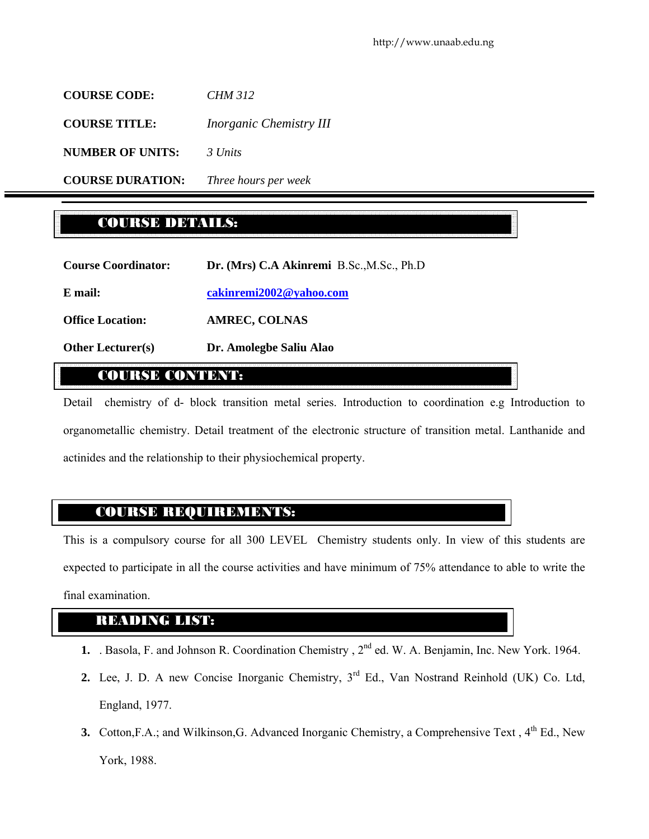**COURSE CODE:** *CHM 312*  **COURSE TITLE:** *Inorganic Chemistry III* **NUMBER OF UNITS:** *3 Units* **COURSE DURATION:** *Three hours per week*

# COURSE DETAILS:

| <b>Course Coordinator:</b> | Dr. (Mrs) C.A Akinremi B.Sc., M.Sc., Ph.D |
|----------------------------|-------------------------------------------|
| E mail:                    | cakinremi2002@yahoo.com                   |
| <b>Office Location:</b>    | <b>AMREC, COLNAS</b>                      |
| <b>Other Lecturer(s)</b>   | Dr. Amolegbe Saliu Alao                   |

# COURSE CONTENT:

Detail chemistry of d- block transition metal series. Introduction to coordination e.g Introduction to organometallic chemistry. Detail treatment of the electronic structure of transition metal. Lanthanide and actinides and the relationship to their physiochemical property.

# COURSE REQUIREMENTS:

This is a compulsory course for all 300 LEVEL Chemistry students only. In view of this students are expected to participate in all the course activities and have minimum of 75% attendance to able to write the final examination.

# READING LIST:

- **1.** . Basola, F. and Johnson R. Coordination Chemistry, 2<sup>nd</sup> ed. W. A. Benjamin, Inc. New York. 1964.
- 2. Lee, J. D. A new Concise Inorganic Chemistry, 3<sup>rd</sup> Ed., Van Nostrand Reinhold (UK) Co. Ltd, England, 1977.
- **3.** Cotton, F.A.; and Wilkinson, G. Advanced Inorganic Chemistry, a Comprehensive Text, 4<sup>th</sup> Ed., New York, 1988.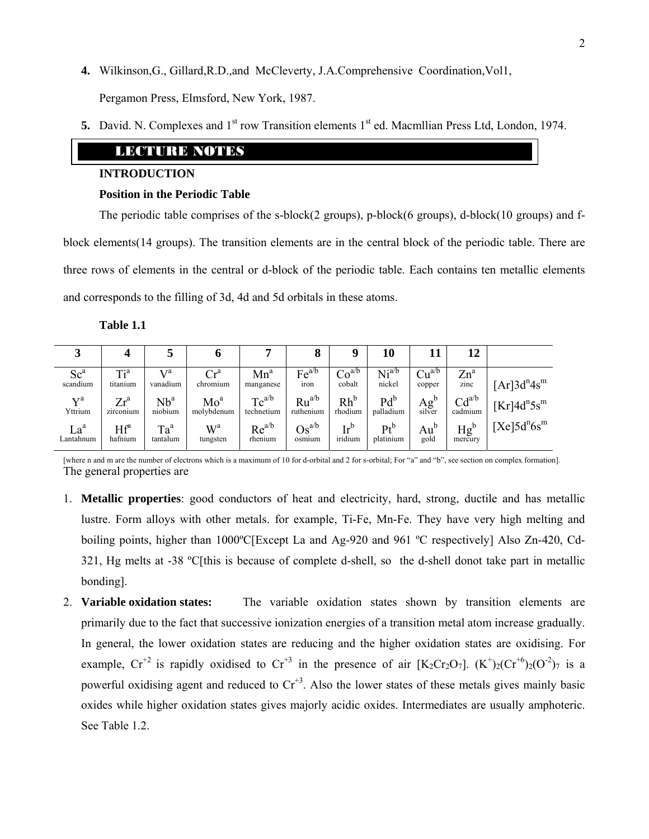- **4.** Wilkinson,G., Gillard,R.D.,and McCleverty, J.A.Comprehensive Coordination,Vol1, Pergamon Press, Elmsford, New York, 1987.
- **5.** David. N. Complexes and 1<sup>st</sup> row Transition elements 1<sup>st</sup> ed. Macmillian Press Ltd, London, 1974.

# LEXUALE ENOTES

## **INTRODUCTION**

## **Position in the Periodic Table**

The periodic table comprises of the s-block(2 groups), p-block(6 groups), d-block(10 groups) and fblock elements(14 groups). The transition elements are in the central block of the periodic table. There are three rows of elements in the central or d-block of the periodic table. Each contains ten metallic elements and corresponds to the filling of 3d, 4d and 5d orbitals in these atoms.

**Table 1.1** 

| لہ                    |                     |                            | o                             |                          | 8                            | u                 | 10                  |                                                | 12                    |                                                   |
|-----------------------|---------------------|----------------------------|-------------------------------|--------------------------|------------------------------|-------------------|---------------------|------------------------------------------------|-----------------------|---------------------------------------------------|
| Sc <sup>a</sup>       | Ti <sup>a</sup>     | л 7а                       | $\operatorname{Cr}^{\rm a}$   | $Mn^a$                   | Fe <sup>a/b</sup>            | Co <sup>a/b</sup> | Ni <sup>a/b</sup>   | Cu <sup>a/b</sup>                              | $Zn^a$                | $[Ar]3d^{n}4s^{m}$                                |
| scandium              | titanium            | vanadium                   | chromium                      | manganese                | iron                         | cobalt            | nickel              | copper                                         | zinc                  |                                                   |
| $\nabla^a$<br>Yttrium | $Zr^a$<br>zirconium | Nb <sup>a</sup><br>niobium | Mo <sup>a</sup><br>molybdenum | $Tc^{a/b}$<br>technetium | $Ru^{a/b}$<br>ruthenium      | $Rh^b$<br>rhodium | $Pd^b$<br>palladium | $\mathbf{A} \mathbf{g}^{\mathbf{b}}$<br>silver | $Cd^{a/b}$<br>cadmium | $Kr$ <sup>1</sup> 4d <sup>n</sup> 5s <sup>m</sup> |
| La <sup>a</sup>       | $Hf^a$              | $Ta^a$                     | $W^a$                         | $Re^{a/b}$               | $\mathrm{Os}^{\mathrm{a/b}}$ | $Ir^b$            | $Pt^b$              | $Au^b$                                         | $Hg^b$                | $[Xe]5d^n6s^m$                                    |
| Lantahnum             | hafnium             | tantalum                   | tungsten                      | rhenium                  | osmium                       | iridium           | platinium           | gold                                           | mercury               |                                                   |

[where n and m are the number of electrons which is a maximum of 10 for d-orbital and 2 for s-orbital; For "a" and "b", see section on complex formation]. The general properties are

- 1. **Metallic properties**: good conductors of heat and electricity, hard, strong, ductile and has metallic lustre. Form alloys with other metals. for example, Ti-Fe, Mn-Fe. They have very high melting and boiling points, higher than 1000ºC[Except La and Ag-920 and 961 ºC respectively] Also Zn-420, Cd-321, Hg melts at -38 ºC[this is because of complete d-shell, so the d-shell donot take part in metallic bonding].
- 2. **Variable oxidation states:** The variable oxidation states shown by transition elements are primarily due to the fact that successive ionization energies of a transition metal atom increase gradually. In general, the lower oxidation states are reducing and the higher oxidation states are oxidising. For example,  $Cr^{+2}$  is rapidly oxidised to  $Cr^{+3}$  in the presence of air  $[K_2Cr_2O_7]$ .  $(K^+)_2(Cr^{+6})_2(O^{-2})_7$  is a powerful oxidising agent and reduced to  $Cr^{+3}$ . Also the lower states of these metals gives mainly basic oxides while higher oxidation states gives majorly acidic oxides. Intermediates are usually amphoteric. See Table 1.2.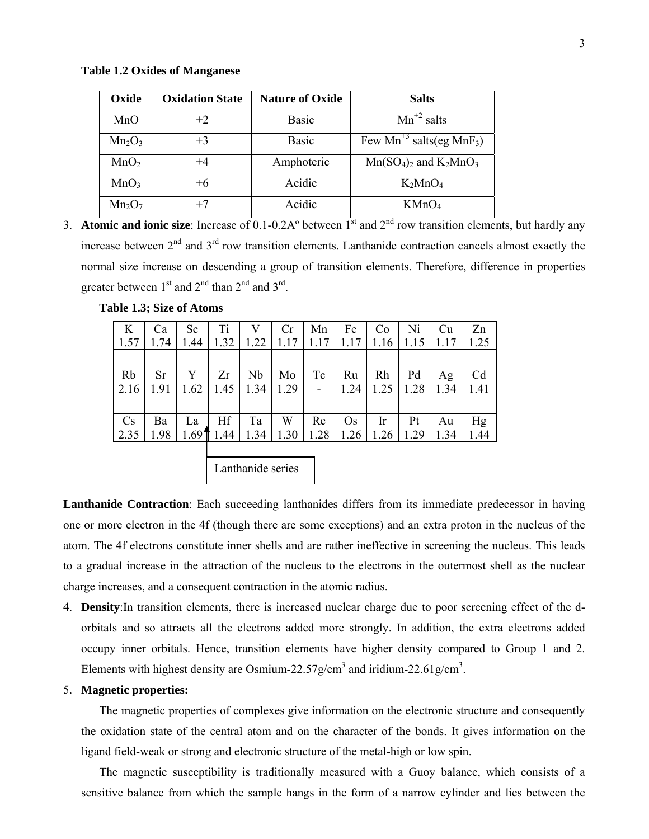#### **Table 1.2 Oxides of Manganese**

| Oxide            | <b>Oxidation State</b> | <b>Nature of Oxide</b> | <b>Salts</b>                                     |
|------------------|------------------------|------------------------|--------------------------------------------------|
| MnO              | $+2$                   | <b>Basic</b>           | $Mn^{2}$ salts                                   |
| $Mn_2O_3$        | $+3$                   | <b>Basic</b>           | Few Mn <sup>+3</sup> salts(eg MnF <sub>3</sub> ) |
| MnO <sub>2</sub> | $+4$                   | Amphoteric             | $Mn(SO_4)_2$ and $K_2MnO_3$                      |
| MnO <sub>3</sub> | $+6$                   | Acidic                 | $K_2MnO_4$                                       |
| $Mn_2O_7$        | $+7$                   | Acidic                 | KMnO <sub>4</sub>                                |

3. **Atomic and ionic size**: Increase of 0.1-0.2A° between 1<sup>st</sup> and 2<sup>nd</sup> row transition elements, but hardly any increase between  $2<sup>nd</sup>$  and  $3<sup>rd</sup>$  row transition elements. Lanthanide contraction cancels almost exactly the normal size increase on descending a group of transition elements. Therefore, difference in properties greater between  $1<sup>st</sup>$  and  $2<sup>nd</sup>$  than  $2<sup>nd</sup>$  and  $3<sup>rd</sup>$ .

| 1.57           | <b>Ca</b><br>1.74 | Sc<br>1.44 | T <sub>i</sub> | V<br>$1.32$   1.22   1.17 | Cr         | Mn<br>1.17       | Fe         | Co<br>$1.17$   1.16   1.15   1.17 | Ni         | Cu         | Zn<br>1.25             |
|----------------|-------------------|------------|----------------|---------------------------|------------|------------------|------------|-----------------------------------|------------|------------|------------------------|
| Rb<br>2.16     | Sr<br>1.91        | Y<br>1.62  | Zr             | Nb<br>$1.45$   1.34       | Mo<br>1.29 | Tc<br>$\sim$ $-$ | Ru<br>1.24 | Rh<br>1.25                        | Pd<br>1.28 | Ag<br>1.34 | C <sub>d</sub><br>1.41 |
| $\mathbf{C}$ s | Ba                | La         | Hf             | Ta                        | W          | Re               | $\rm Os$   | $\ln$                             | Pt         | Au         | Hg                     |
| 2.35           | 1.98              |            | $1.69$ 1.44    | 1.34                      | 1.30       | 1.28             | 1.26       | 1.26                              | 1.29       | 1.34       | 1.44                   |

**Table 1.3; Size of Atoms** 

Lanthanide series

**Lanthanide Contraction**: Each succeeding lanthanides differs from its immediate predecessor in having one or more electron in the 4f (though there are some exceptions) and an extra proton in the nucleus of the atom. The 4f electrons constitute inner shells and are rather ineffective in screening the nucleus. This leads to a gradual increase in the attraction of the nucleus to the electrons in the outermost shell as the nuclear charge increases, and a consequent contraction in the atomic radius.

4. **Density**:In transition elements, there is increased nuclear charge due to poor screening effect of the dorbitals and so attracts all the electrons added more strongly. In addition, the extra electrons added occupy inner orbitals. Hence, transition elements have higher density compared to Group 1 and 2. Elements with highest density are Osmium-22.57g/cm<sup>3</sup> and iridium-22.61g/cm<sup>3</sup>.

#### 5. **Magnetic properties:**

The magnetic properties of complexes give information on the electronic structure and consequently the oxidation state of the central atom and on the character of the bonds. It gives information on the ligand field-weak or strong and electronic structure of the metal-high or low spin.

The magnetic susceptibility is traditionally measured with a Guoy balance, which consists of a sensitive balance from which the sample hangs in the form of a narrow cylinder and lies between the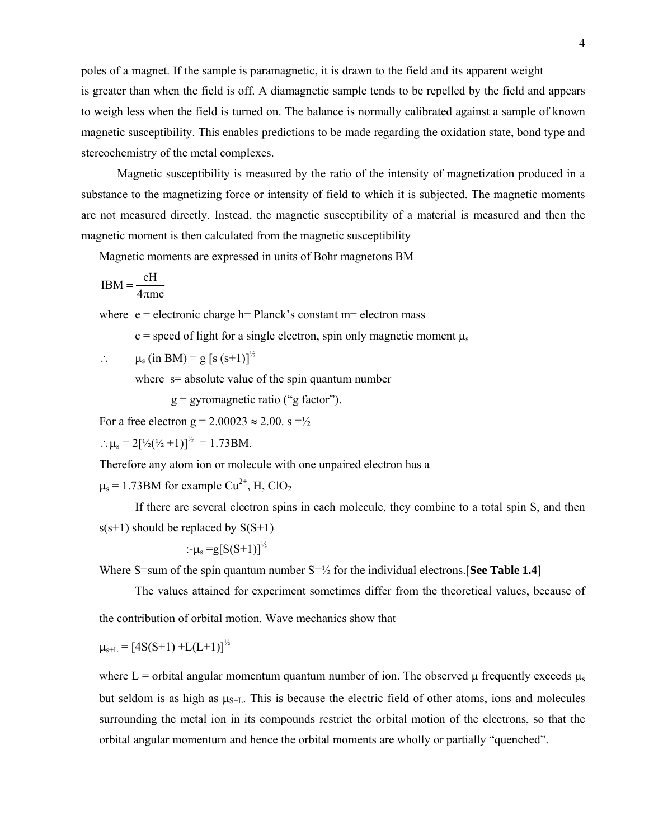poles of a magnet. If the sample is paramagnetic, it is drawn to the field and its apparent weight is greater than when the field is off. A diamagnetic sample tends to be repelled by the field and appears to weigh less when the field is turned on. The balance is normally calibrated against a sample of known magnetic susceptibility. This enables predictions to be made regarding the oxidation state, bond type and stereochemistry of the metal complexes.

Magnetic susceptibility is measured by the ratio of the intensity of magnetization produced in a substance to the magnetizing force or intensity of field to which it is subjected. The magnetic moments are not measured directly. Instead, the magnetic susceptibility of a material is measured and then the magnetic moment is then calculated from the magnetic susceptibility

Magnetic moments are expressed in units of Bohr magnetons BM

$$
IBM = \frac{eH}{4\pi mc}
$$

where  $e =$  electronic charge h= Planck's constant m= electron mass

c = speed of light for a single electron, spin only magnetic moment  $\mu_s$ 

:. 
$$
\mu_s
$$
 (in BM) = g [s (s+1)]<sup>1/2</sup>

where  $s=$  absolute value of the spin quantum number

 $g = gyromagnetic ratio ("g factor").$ 

For a free electron  $g = 2.00023 \approx 2.00$ .  $s = \frac{1}{2}$ 

 $\therefore \mu_s = 2\left[\frac{1}{2}\left(\frac{1}{2} + 1\right)\right]^{1/2} = 1.73 \text{BM}.$ 

Therefore any atom ion or molecule with one unpaired electron has a

 $\mu$ <sub>s</sub> = 1.73BM for example Cu<sup>2+</sup>, H, ClO<sub>2</sub>

If there are several electron spins in each molecule, they combine to a total spin S, and then  $s(s+1)$  should be replaced by  $S(S+1)$ 

$$
\div \mu_{\rm s} = g[S(S+1)]^{\frac{1}{2}}
$$

Where S=sum of the spin quantum number  $S=$ <sup> $1/2$ </sup> for the individual electrons. **[See Table 1.4**]

The values attained for experiment sometimes differ from the theoretical values, because of the contribution of orbital motion. Wave mechanics show that

$$
\mu_{s+L} = [4S(S+1) + L(L+1)]^{\frac{1}{2}}
$$

where L = orbital angular momentum quantum number of ion. The observed  $\mu$  frequently exceeds  $\mu_s$ but seldom is as high as  $\mu_{S+L}$ . This is because the electric field of other atoms, ions and molecules surrounding the metal ion in its compounds restrict the orbital motion of the electrons, so that the orbital angular momentum and hence the orbital moments are wholly or partially "quenched".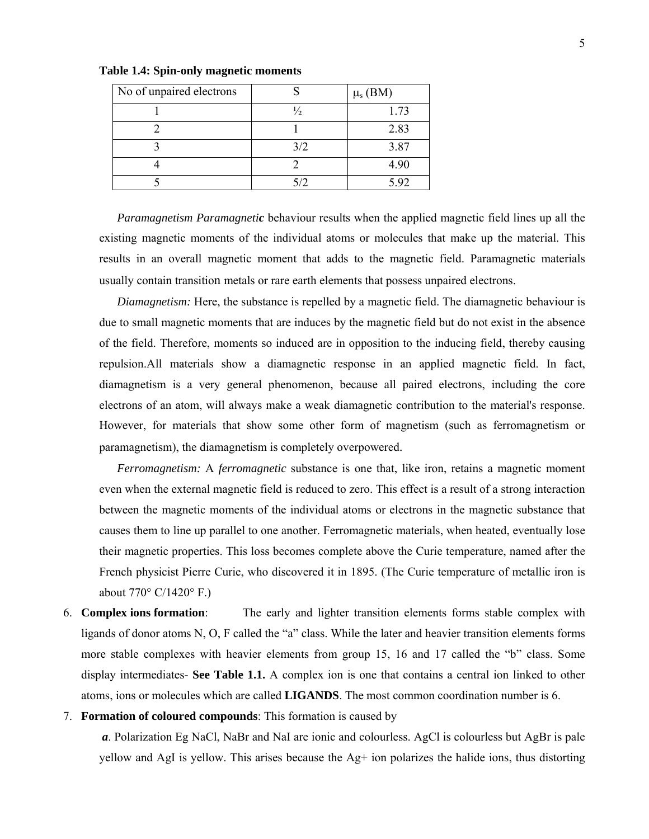| No of unpaired electrons |               | $\mu_s$ (BM) |
|--------------------------|---------------|--------------|
|                          | $\frac{1}{2}$ | 1.73         |
|                          |               | 2.83         |
|                          | 3/2           | 3.87         |
|                          |               | 4.90         |
|                          |               | 5.92         |

**Table 1.4: Spin-only magnetic moments** 

*Paramagnetism Paramagnetic* behaviour results when the applied magnetic field lines up all the existing magnetic moments of the individual atoms or molecules that make up the material. This results in an overall magnetic moment that adds to the magnetic field. Paramagnetic materials usually contain transition metals or rare earth elements that possess unpaired electrons.

*Diamagnetism:* Here, the substance is repelled by a magnetic field. The diamagnetic behaviour is due to small magnetic moments that are induces by the magnetic field but do not exist in the absence of the field. Therefore, moments so induced are in opposition to the inducing field, thereby causing repulsion.All materials show a diamagnetic response in an applied magnetic field. In fact, diamagnetism is a very general phenomenon, because all paired electrons, including the core electrons of an atom, will always make a weak diamagnetic contribution to the material's response. However, for materials that show some other form of magnetism (such as ferromagnetism or paramagnetism), the diamagnetism is completely overpowered.

*Ferromagnetism:* A *ferromagnetic* substance is one that, like iron, retains a magnetic moment even when the external magnetic field is reduced to zero. This effect is a result of a strong interaction between the magnetic moments of the individual atoms or electrons in the magnetic substance that causes them to line up parallel to one another. Ferromagnetic materials, when heated, eventually lose their magnetic properties. This loss becomes complete above the Curie temperature, named after the French physicist Pierre Curie, who discovered it in 1895. (The Curie temperature of metallic iron is about 770° C/1420° F.)

- 6. **Complex ions formation**: The early and lighter transition elements forms stable complex with ligands of donor atoms N, O, F called the "a" class. While the later and heavier transition elements forms more stable complexes with heavier elements from group 15, 16 and 17 called the "b" class. Some display intermediates- **See Table 1.1.** A complex ion is one that contains a central ion linked to other atoms, ions or molecules which are called **LIGANDS**. The most common coordination number is 6.
- 7. **Formation of coloured compounds**: This formation is caused by

*a*. Polarization Eg NaCl, NaBr and NaI are ionic and colourless. AgCl is colourless but AgBr is pale yellow and AgI is yellow. This arises because the Ag+ ion polarizes the halide ions, thus distorting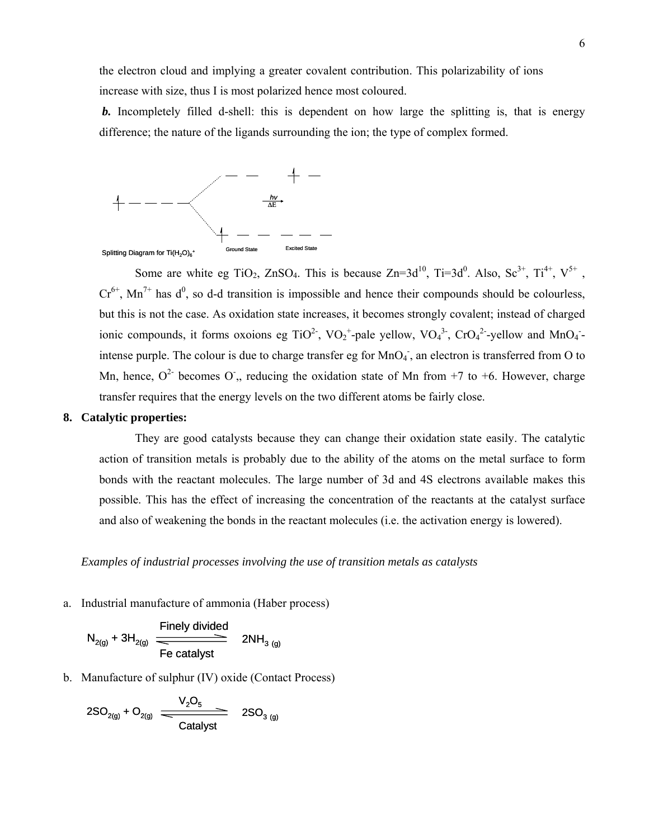the electron cloud and implying a greater covalent contribution. This polarizability of ions increase with size, thus I is most polarized hence most coloured.

**b.** Incompletely filled d-shell: this is dependent on how large the splitting is, that is energy difference; the nature of the ligands surrounding the ion; the type of complex formed.



Some are white eg TiO<sub>2</sub>, ZnSO<sub>4</sub>. This is because Zn=3d<sup>10</sup>, Ti=3d<sup>0</sup>. Also, Sc<sup>3+</sup>, Ti<sup>4+</sup>, V<sup>5+</sup>,  $Cr^{6+}$ , Mn<sup>7+</sup> has  $d^0$ , so d-d transition is impossible and hence their compounds should be colourless, but this is not the case. As oxidation state increases, it becomes strongly covalent; instead of charged ionic compounds, it forms oxoions eg TiO<sup>2-</sup>, VO<sub>2</sub><sup>+</sup>-pale yellow, VO<sub>4</sub><sup>3-</sup>, CrO<sub>4</sub><sup>2</sup>-yellow and MnO<sub>4</sub><sup>-</sup> intense purple. The colour is due to charge transfer eg for  $MnO<sub>4</sub>$ , an electron is transferred from O to Mn, hence,  $O^2$  becomes O,, reducing the oxidation state of Mn from +7 to +6. However, charge transfer requires that the energy levels on the two different atoms be fairly close.

#### **8. Catalytic properties:**

They are good catalysts because they can change their oxidation state easily. The catalytic action of transition metals is probably due to the ability of the atoms on the metal surface to form bonds with the reactant molecules. The large number of 3d and 4S electrons available makes this possible. This has the effect of increasing the concentration of the reactants at the catalyst surface and also of weakening the bonds in the reactant molecules (i.e. the activation energy is lowered).

#### *Examples of industrial processes involving the use of transition metals as catalysts*

a. Industrial manufacture of ammonia (Haber process)

$$
N_{2(g)} + 3H_{2(g)} \xrightarrow{\text{Finely divided}}
$$
\n
$$
2NH_{3(g)}
$$
\n
$$
\text{Fe catalyst}
$$

b. Manufacture of sulphur (IV) oxide (Contact Process)

$$
2SO_{2(g)} + O_{2(g)} \frac{V_2O_5}{\frac{1}{\text{Catalyst}}} \quad 2SO_{3(g)}
$$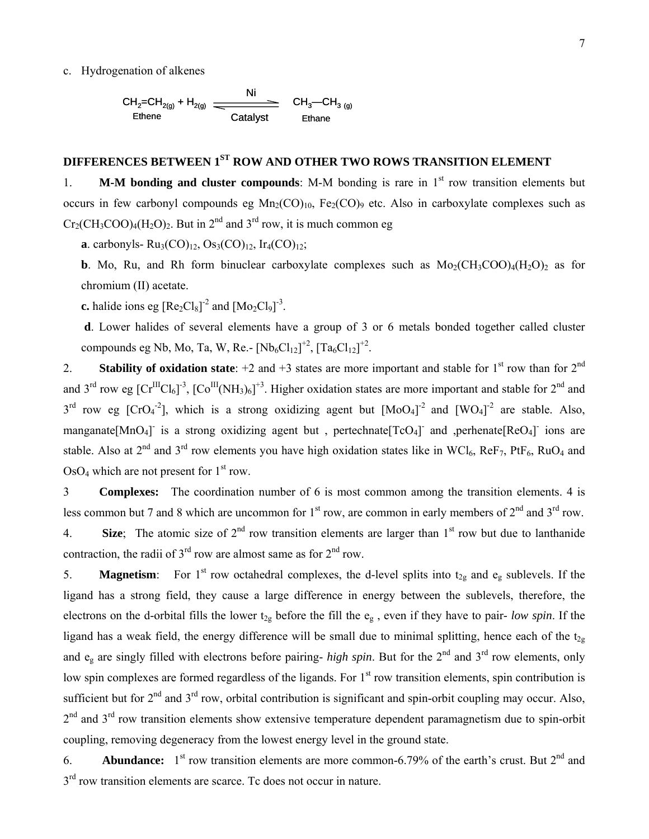#### c. Hydrogenation of alkenes

$$
\begin{array}{ccc}\nCH_2=CH_{2(g)} + H_{2(g)} & \xrightarrow{\text{Ni}} & CH_3\text{--CH}_{3(g)} \\
\hline\n\text{Ethene} & & \text{Catalyst} & \text{Ethane}\n\end{array}
$$

# **DIFFERENCES BETWEEN 1ST ROW AND OTHER TWO ROWS TRANSITION ELEMENT**

1. **M-M bonding and cluster compounds**: M-M bonding is rare in 1<sup>st</sup> row transition elements but occurs in few carbonyl compounds eg  $Mn_2(CO)_{10}$ , Fe<sub>2</sub>(CO)<sub>9</sub> etc. Also in carboxylate complexes such as  $Cr_2(CH_3COO)_4(H_2O)_2$ . But in  $2^{nd}$  and  $3^{rd}$  row, it is much common eg

**a**. carbonyls-  $Ru_3(CO)_{12}$ ,  $Os_3(CO)_{12}$ ,  $Ir_4(CO)_{12}$ ;

**b**. Mo, Ru, and Rh form binuclear carboxylate complexes such as  $Mo<sub>2</sub>(CH<sub>3</sub>COO)<sub>4</sub>(H<sub>2</sub>O)<sub>2</sub>$  as for chromium (II) acetate.

**c.** halide ions eg  $[Re_2Cl_8]^2$  and  $[Mo_2Cl_9]^3$ .

**d**. Lower halides of several elements have a group of 3 or 6 metals bonded together called cluster compounds eg Nb, Mo, Ta, W, Re.-  $[Nb_6Cl_{12}]^{+2}$ ,  $[Ta_6Cl_{12}]^{+2}$ .

2. **Stability of oxidation state**:  $+2$  and  $+3$  states are more important and stable for 1<sup>st</sup> row than for  $2^{nd}$ and 3<sup>rd</sup> row eg  $[Cr^{III}Cl_6]$ <sup>-3</sup>,  $[Co^{III}(NH_3)_6]$ <sup>+3</sup>. Higher oxidation states are more important and stable for 2<sup>nd</sup> and  $3^{rd}$  row eg [CrO<sub>4</sub><sup>-2</sup>], which is a strong oxidizing agent but  $[MoO<sub>4</sub>]<sup>-2</sup>$  and  $[WO<sub>4</sub>]<sup>-2</sup>$  are stable. Also, manganate[MnO<sub>4</sub>] is a strong oxidizing agent but, pertechnate[TcO<sub>4</sub>] and ,perhenate[ReO<sub>4</sub>] ions are stable. Also at  $2^{nd}$  and  $3^{rd}$  row elements you have high oxidation states like in WCl<sub>6</sub>, ReF<sub>7</sub>, PtF<sub>6</sub>, RuO<sub>4</sub> and  $OsO<sub>4</sub>$  which are not present for  $1<sup>st</sup>$  row.

3 **Complexes:** The coordination number of 6 is most common among the transition elements. 4 is less common but 7 and 8 which are uncommon for 1<sup>st</sup> row, are common in early members of 2<sup>nd</sup> and 3<sup>rd</sup> row. 4. **Size**; The atomic size of  $2<sup>nd</sup>$  row transition elements are larger than  $1<sup>st</sup>$  row but due to lanthanide contraction, the radii of  $3<sup>rd</sup>$  row are almost same as for  $2<sup>nd</sup>$  row.

5. **Magnetism**: For 1<sup>st</sup> row octahedral complexes, the d-level splits into  $t_{2g}$  and  $e_g$  sublevels. If the ligand has a strong field, they cause a large difference in energy between the sublevels, therefore, the electrons on the d-orbital fills the lower  $t_{2g}$  before the fill the  $e_g$ , even if they have to pair- *low spin*. If the ligand has a weak field, the energy difference will be small due to minimal splitting, hence each of the  $t_{2g}$ and  $e_g$  are singly filled with electrons before pairing- *high spin*. But for the  $2^{nd}$  and  $3^{rd}$  row elements, only low spin complexes are formed regardless of the ligands. For 1<sup>st</sup> row transition elements, spin contribution is sufficient but for  $2<sup>nd</sup>$  and  $3<sup>rd</sup>$  row, orbital contribution is significant and spin-orbit coupling may occur. Also,  $2<sup>nd</sup>$  and  $3<sup>rd</sup>$  row transition elements show extensive temperature dependent paramagnetism due to spin-orbit coupling, removing degeneracy from the lowest energy level in the ground state.

6. **Abundance:** 1<sup>st</sup> row transition elements are more common-6.79% of the earth's crust. But 2<sup>nd</sup> and  $3<sup>rd</sup>$  row transition elements are scarce. Tc does not occur in nature.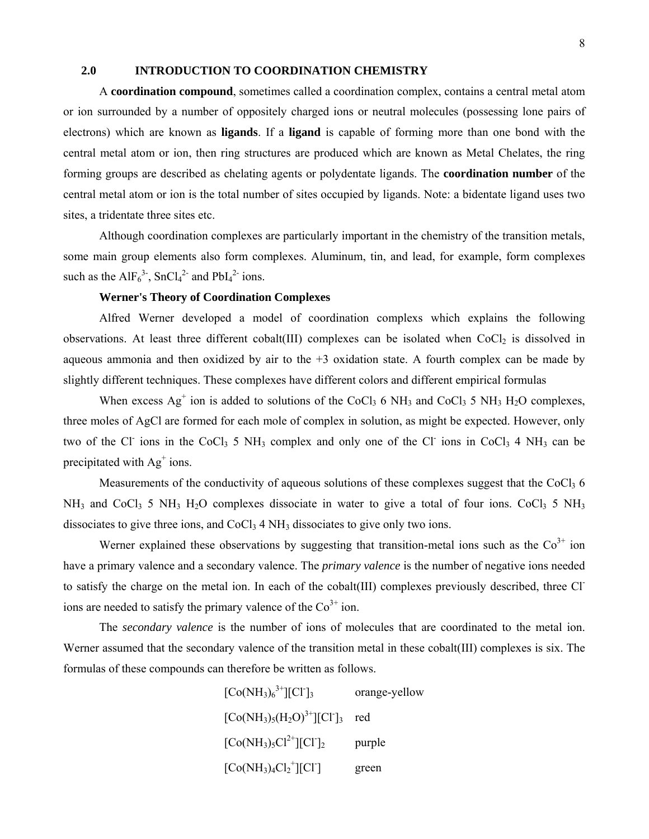### **2.0 INTRODUCTION TO COORDINATION CHEMISTRY**

A **coordination compound**, sometimes called a coordination complex, contains a central metal atom or ion surrounded by a number of oppositely charged ions or neutral molecules (possessing lone pairs of electrons) which are known as **ligands**. If a **ligand** is capable of forming more than one bond with the central metal atom or ion, then ring structures are produced which are known as Metal Chelates, the ring forming groups are described as chelating agents or polydentate ligands. The **coordination number** of the central metal atom or ion is the total number of sites occupied by ligands. Note: a bidentate ligand uses two sites, a tridentate three sites etc.

Although coordination complexes are particularly important in the chemistry of the transition metals, some main group elements also form complexes. Aluminum, tin, and lead, for example, form complexes such as the  $AIF_6^{3}$ , SnCl<sub>4</sub><sup>2-</sup> and PbI<sub>4</sub><sup>2-</sup> ions.

### **Werner's Theory of Coordination Complexes**

Alfred Werner developed a model of coordination complexs which explains the following observations. At least three different cobalt(III) complexes can be isolated when CoCl<sub>2</sub> is dissolved in aqueous ammonia and then oxidized by air to the  $+3$  oxidation state. A fourth complex can be made by slightly different techniques. These complexes have different colors and different empirical formulas

When excess  $Ag^+$  ion is added to solutions of the CoCl<sub>3</sub> 6 NH<sub>3</sub> and CoCl<sub>3</sub> 5 NH<sub>3</sub> H<sub>2</sub>O complexes, three moles of AgCl are formed for each mole of complex in solution, as might be expected. However, only two of the Cl<sup>-</sup> ions in the CoCl<sub>3</sub> 5 NH<sub>3</sub> complex and only one of the Cl<sup>-</sup> ions in CoCl<sub>3</sub> 4 NH<sub>3</sub> can be precipitated with  $Ag<sup>+</sup> ions$ .

Measurements of the conductivity of aqueous solutions of these complexes suggest that the CoCl<sub>3</sub> 6  $NH_3$  and CoCl<sub>3</sub> 5 NH<sub>3</sub> H<sub>2</sub>O complexes dissociate in water to give a total of four ions. CoCl<sub>3</sub> 5 NH<sub>3</sub> dissociates to give three ions, and  $CoCl<sub>3</sub> 4 NH<sub>3</sub>$  dissociates to give only two ions.

Werner explained these observations by suggesting that transition-metal ions such as the  $\text{Co}^{3+}$  ion have a primary valence and a secondary valence. The *primary valence* is the number of negative ions needed to satisfy the charge on the metal ion. In each of the cobalt(III) complexes previously described, three Clions are needed to satisfy the primary valence of the  $Co<sup>3+</sup>$  ion.

The *secondary valence* is the number of ions of molecules that are coordinated to the metal ion. Werner assumed that the secondary valence of the transition metal in these cobalt(III) complexes is six. The formulas of these compounds can therefore be written as follows.

> $[Co(NH<sub>3</sub>)<sub>6</sub><sup>3+</sup>][Cl$ orange-yellow  $[Co(NH<sub>3</sub>)<sub>5</sub>(H<sub>2</sub>O)<sup>3+</sup>][Cl<sup>-</sup>]$ <sub>3</sub> red  $[Co(NH_3)_5Cl^{2+}][Cl^2]_2$ purple  $[Co(NH<sub>3</sub>)<sub>4</sub>Cl<sub>2</sub><sup>+</sup>][Cl<sup>-</sup>$ ] green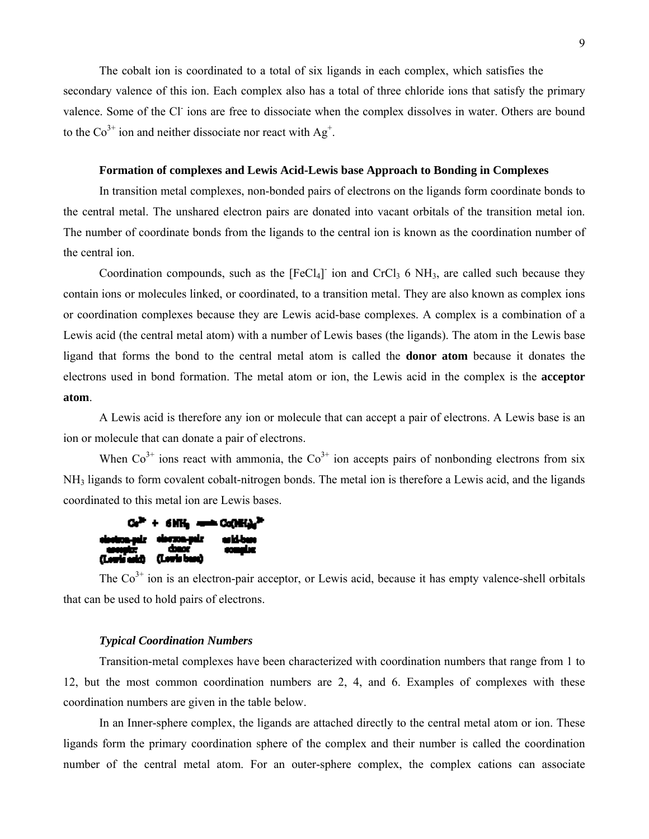The cobalt ion is coordinated to a total of six ligands in each complex, which satisfies the secondary valence of this ion. Each complex also has a total of three chloride ions that satisfy the primary valence. Some of the Cl<sup>-</sup> ions are free to dissociate when the complex dissolves in water. Others are bound to the Co<sup>3+</sup> ion and neither dissociate nor react with Ag<sup>+</sup>.

#### **Formation of complexes and Lewis Acid-Lewis base Approach to Bonding in Complexes**

In transition metal complexes, non-bonded pairs of electrons on the ligands form coordinate bonds to the central metal. The unshared electron pairs are donated into vacant orbitals of the transition metal ion. The number of coordinate bonds from the ligands to the central ion is known as the coordination number of the central ion.

Coordination compounds, such as the  $[FeCl<sub>4</sub>]$  ion and CrCl<sub>3</sub> 6 NH<sub>3</sub>, are called such because they contain ions or molecules linked, or coordinated, to a transition metal. They are also known as complex ions or coordination complexes because they are Lewis acid-base complexes. A complex is a combination of a Lewis acid (the central metal atom) with a number of Lewis bases (the ligands). The atom in the Lewis base ligand that forms the bond to the central metal atom is called the **donor atom** because it donates the electrons used in bond formation. The metal atom or ion, the Lewis acid in the complex is the **acceptor atom**.

A Lewis acid is therefore any ion or molecule that can accept a pair of electrons. A Lewis base is an ion or molecule that can donate a pair of electrons.

When  $Co<sup>3+</sup>$  ions react with ammonia, the  $Co<sup>3+</sup>$  ion accepts pairs of nonbonding electrons from six NH3 ligands to form covalent cobalt-nitrogen bonds. The metal ion is therefore a Lewis acid, and the ligands coordinated to this metal ion are Lewis bases.

| $\text{Co}^{\text{in}} + 6\text{MHz}$ and $\text{Co}(\text{MHz}^{\text{in}})$                      |  |
|----------------------------------------------------------------------------------------------------|--|
| electron-pair electron-pair autó-base<br>- acceptr: - chanc - complex<br>(Lowis autó) (Lowis base) |  |

The  $\text{Co}^{3+}$  ion is an electron-pair acceptor, or Lewis acid, because it has empty valence-shell orbitals that can be used to hold pairs of electrons.

#### *Typical Coordination Numbers*

Transition-metal complexes have been characterized with coordination numbers that range from 1 to 12, but the most common coordination numbers are 2, 4, and 6. Examples of complexes with these coordination numbers are given in the table below.

In an Inner-sphere complex, the ligands are attached directly to the central metal atom or ion. These ligands form the primary coordination sphere of the complex and their number is called the coordination number of the central metal atom. For an outer-sphere complex, the complex cations can associate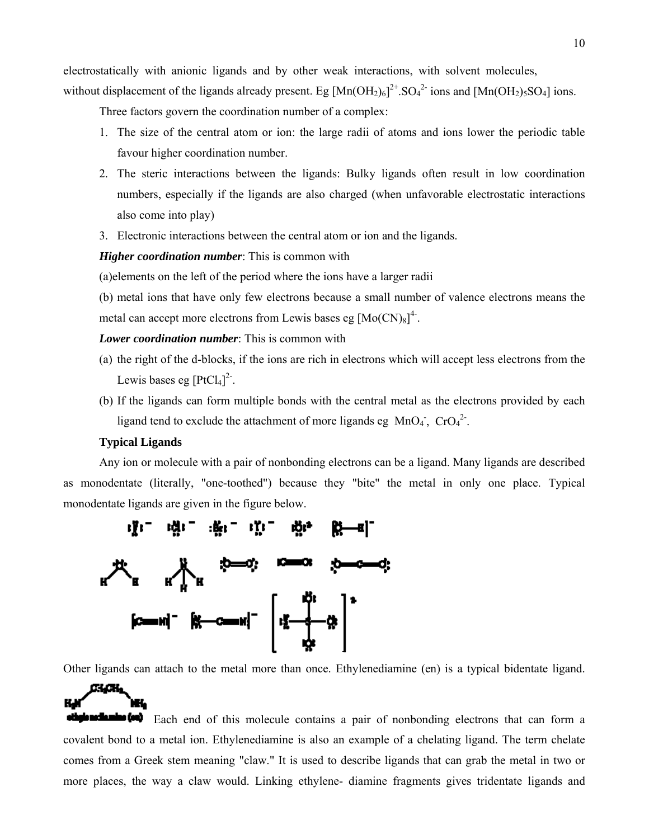electrostatically with anionic ligands and by other weak interactions, with solvent molecules,

without displacement of the ligands already present. Eg  $[Mn(OH_2)_6]^{2+}$ . SO<sub>4</sub><sup>2-</sup> ions and  $[Mn(OH_2)_5SO_4]$  ions.

Three factors govern the coordination number of a complex:

- 1. The size of the central atom or ion: the large radii of atoms and ions lower the periodic table favour higher coordination number.
- 2. The steric interactions between the ligands: Bulky ligands often result in low coordination numbers, especially if the ligands are also charged (when unfavorable electrostatic interactions also come into play)
- 3. Electronic interactions between the central atom or ion and the ligands.

*Higher coordination number*: This is common with

(a)elements on the left of the period where the ions have a larger radii

(b) metal ions that have only few electrons because a small number of valence electrons means the metal can accept more electrons from Lewis bases eg  $[Mo(CN)_8]^{4}$ .

#### *Lower coordination number*: This is common with

- (a) the right of the d-blocks, if the ions are rich in electrons which will accept less electrons from the Lewis bases eg  $[PtCl<sub>4</sub>]<sup>2</sup>$ .
- (b) If the ligands can form multiple bonds with the central metal as the electrons provided by each ligand tend to exclude the attachment of more ligands eg  $MnO<sub>4</sub>$ ,  $CrO<sub>4</sub><sup>2</sup>$ .

### **Typical Ligands**

w.

KJ

Any ion or molecule with a pair of nonbonding electrons can be a ligand. Many ligands are described as monodentate (literally, "one-toothed") because they "bite" the metal in only one place. Typical monodentate ligands are given in the figure below.



Other ligands can attach to the metal more than once. Ethylenediamine (en) is a typical bidentate ligand.

**Each end of this molecule contains a pair of nonbonding electrons that can form a** covalent bond to a metal ion. Ethylenediamine is also an example of a chelating ligand. The term chelate comes from a Greek stem meaning "claw." It is used to describe ligands that can grab the metal in two or more places, the way a claw would. Linking ethylene- diamine fragments gives tridentate ligands and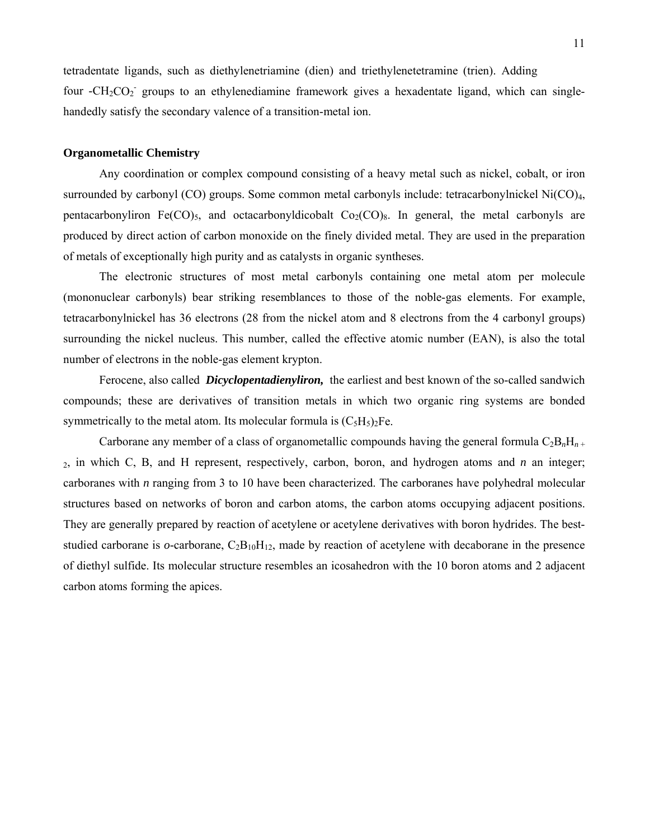tetradentate ligands, such as diethylenetriamine (dien) and triethylenetetramine (trien). Adding four -CH<sub>2</sub>CO<sub>2</sub> groups to an ethylenediamine framework gives a hexadentate ligand, which can singlehandedly satisfy the secondary valence of a transition-metal ion.

#### **Organometallic Chemistry**

Any coordination or complex compound consisting of a heavy metal such as nickel, cobalt, or iron surrounded by carbonyl (CO) groups. Some common metal carbonyls include: tetracarbonylnickel Ni(CO)<sub>4</sub>, pentacarbonyliron Fe(CO)<sub>5</sub>, and octacarbonyldicobalt  $Co<sub>2</sub>(CO)<sub>8</sub>$ . In general, the metal carbonyls are produced by direct action of carbon monoxide on the finely divided metal. They are used in the preparation of metals of exceptionally high purity and as catalysts in organic syntheses.

The electronic structures of most metal carbonyls containing one metal atom per molecule (mononuclear carbonyls) bear striking resemblances to those of the noble-gas elements. For example, tetracarbonylnickel has 36 electrons (28 from the nickel atom and 8 electrons from the 4 carbonyl groups) surrounding the nickel nucleus. This number, called the effective atomic number (EAN), is also the total number of electrons in the noble-gas element krypton.

Ferocene, also called *Dicyclopentadienyliron,* the earliest and best known of the so-called sandwich compounds; these are derivatives of transition metals in which two organic ring systems are bonded symmetrically to the metal atom. Its molecular formula is  $(C_5H_5)_2Fe$ .

Carborane any member of a class of organometallic compounds having the general formula  $C_2B_nH_{n+1}$ 2, in which C, B, and H represent, respectively, carbon, boron, and hydrogen atoms and *n* an integer; carboranes with *n* ranging from 3 to 10 have been characterized. The carboranes have polyhedral molecular structures based on networks of boron and carbon atoms, the carbon atoms occupying adjacent positions. They are generally prepared by reaction of acetylene or acetylene derivatives with boron hydrides. The beststudied carborane is *o*-carborane, C<sub>2</sub>B<sub>10</sub>H<sub>12</sub>, made by reaction of acetylene with decaborane in the presence of diethyl sulfide. Its molecular structure resembles an icosahedron with the 10 boron atoms and 2 adjacent carbon atoms forming the apices.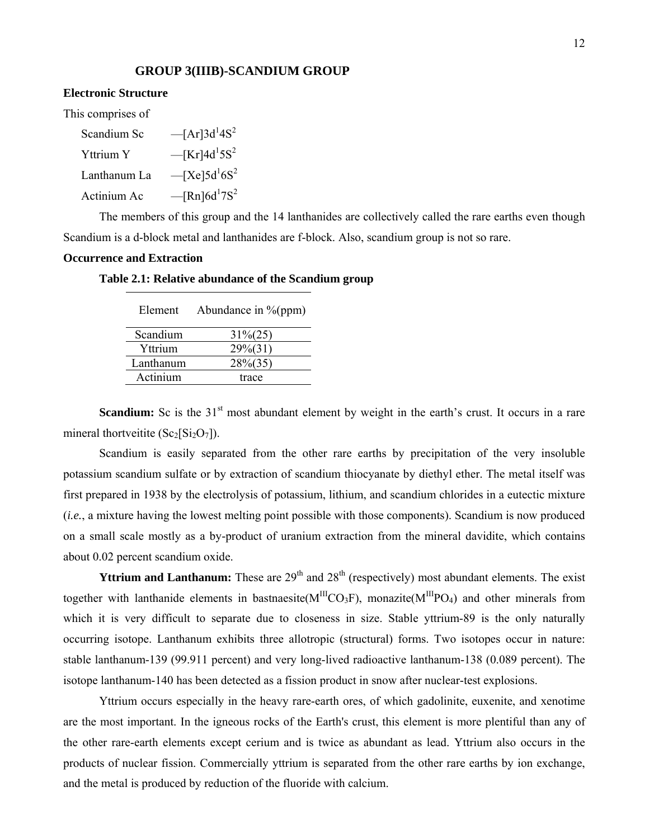#### **GROUP 3(IIIB)-SCANDIUM GROUP**

#### **Electronic Structure**

This comprises of

| Scandium Sc  | $-[Ar]3d^14S^2$                         |
|--------------|-----------------------------------------|
| Yttrium Y    | $-$ [Kr]4d <sup>1</sup> 5S <sup>2</sup> |
| Lanthanum La | $- [Xe] 5d^1 6S^2$                      |
| Actinium Ac  | $-$ [Rn]6d <sup>1</sup> 7S <sup>2</sup> |

The members of this group and the 14 lanthanides are collectively called the rare earths even though Scandium is a d-block metal and lanthanides are f-block. Also, scandium group is not so rare.

#### **Occurrence and Extraction**

#### **Table 2.1: Relative abundance of the Scandium group**

| Abundance in $\%$ (ppm) |
|-------------------------|
| $31\%(25)$              |
| $29\%(31)$              |
| $28\%(35)$              |
| trace                   |
|                         |

**Scandium:** Sc is the 31<sup>st</sup> most abundant element by weight in the earth's crust. It occurs in a rare mineral thortveitite  $(Sc_2[Si_2O_7])$ .

Scandium is easily separated from the other rare earths by precipitation of the very insoluble potassium scandium sulfate or by extraction of scandium thiocyanate by diethyl ether. The metal itself was first prepared in 1938 by the electrolysis of potassium, lithium, and scandium chlorides in a eutectic mixture (*i.e.*, a mixture having the lowest melting point possible with those components). Scandium is now produced on a small scale mostly as a by-product of uranium extraction from the mineral davidite, which contains about 0.02 percent scandium oxide.

**Yttrium and Lanthanum:** These are  $29<sup>th</sup>$  and  $28<sup>th</sup>$  (respectively) most abundant elements. The exist together with lanthanide elements in bastnaesite( $M^{III}CO_3F$ ), monazite( $M^{III}PO_4$ ) and other minerals from which it is very difficult to separate due to closeness in size. Stable yttrium-89 is the only naturally occurring isotope. Lanthanum exhibits three allotropic (structural) forms. Two isotopes occur in nature: stable lanthanum-139 (99.911 percent) and very long-lived radioactive lanthanum-138 (0.089 percent). The isotope lanthanum-140 has been detected as a fission product in snow after nuclear-test explosions.

Yttrium occurs especially in the heavy rare-earth ores, of which gadolinite, euxenite, and xenotime are the most important. In the igneous rocks of the Earth's crust, this element is more plentiful than any of the other rare-earth elements except cerium and is twice as abundant as lead. Yttrium also occurs in the products of nuclear fission. Commercially yttrium is separated from the other rare earths by ion exchange, and the metal is produced by reduction of the fluoride with calcium.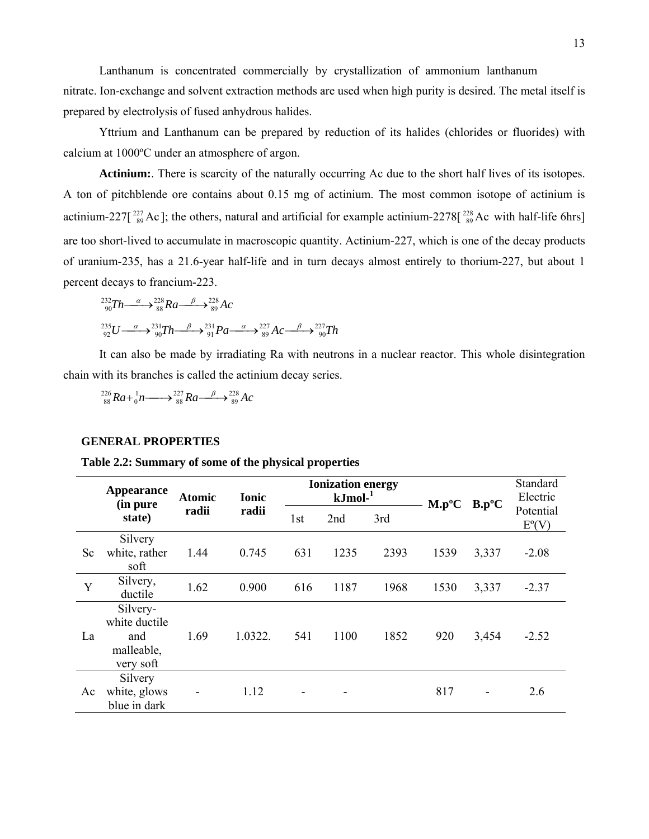Lanthanum is concentrated commercially by crystallization of ammonium lanthanum nitrate. Ion-exchange and solvent extraction methods are used when high purity is desired. The metal itself is prepared by electrolysis of fused anhydrous halides.

Yttrium and Lanthanum can be prepared by reduction of its halides (chlorides or fluorides) with calcium at 1000ºC under an atmosphere of argon.

**Actinium:**. There is scarcity of the naturally occurring Ac due to the short half lives of its isotopes. A ton of pitchblende ore contains about 0.15 mg of actinium. The most common isotope of actinium is actinium-227[ $^{227}_{89}$ Ac]; the others, natural and artificial for example actinium-2278[ $^{228}_{89}$ Ac with half-life 6hrs] are too short-lived to accumulate in macroscopic quantity. Actinium-227, which is one of the decay products of uranium-235, has a 21.6-year half-life and in turn decays almost entirely to thorium-227, but about 1 percent decays to francium-223.

$$
{}_{90}^{232}Th \longrightarrow {}_{88}^{228}Ra \longrightarrow {}_{89}^{228}Ac
$$
  

$$
{}_{92}^{235}U \longrightarrow {}_{90}^{231}Th \longrightarrow {}_{91}^{231}Pa \longrightarrow {}_{89}^{227}Ac \longrightarrow {}_{90}^{227}Th
$$

It can also be made by irradiating Ra with neutrons in a nuclear reactor. This whole disintegration chain with its branches is called the actinium decay series.

 $\frac{^{226}}{^{88}}Ra + \frac{1}{0}n \longrightarrow \frac{^{227}}{^{88}}Ra \longrightarrow \frac{^{228}}{^{89}}Ac$ 

#### **GENERAL PROPERTIES**

**Table 2.2: Summary of some of the physical properties** 

|           | <b>Appearance</b><br>(in pure                               | <b>Atomic</b> |         |     | <b>Ionization energy</b><br>$kJmol-1$ |      |          | $B.p^oC$ | Standard<br>Electric  |  |
|-----------|-------------------------------------------------------------|---------------|---------|-----|---------------------------------------|------|----------|----------|-----------------------|--|
|           | state)                                                      | radii         | radii   | 1st | 2nd                                   | 3rd  | $M.p^oC$ |          | Potential<br>$E^o(V)$ |  |
| <b>Sc</b> | Silvery<br>white, rather<br>soft                            | 1.44          | 0.745   | 631 | 1235                                  | 2393 | 1539     | 3,337    | $-2.08$               |  |
| Y         | Silvery,<br>ductile                                         | 1.62          | 0.900   | 616 | 1187                                  | 1968 | 1530     | 3,337    | $-2.37$               |  |
| La        | Silvery-<br>white ductile<br>and<br>malleable,<br>very soft | 1.69          | 1.0322. | 541 | 1100                                  | 1852 | 920      | 3,454    | $-2.52$               |  |
| Ac        | Silvery<br>white, glows<br>blue in dark                     |               | 1.12    |     |                                       |      | 817      |          | 2.6                   |  |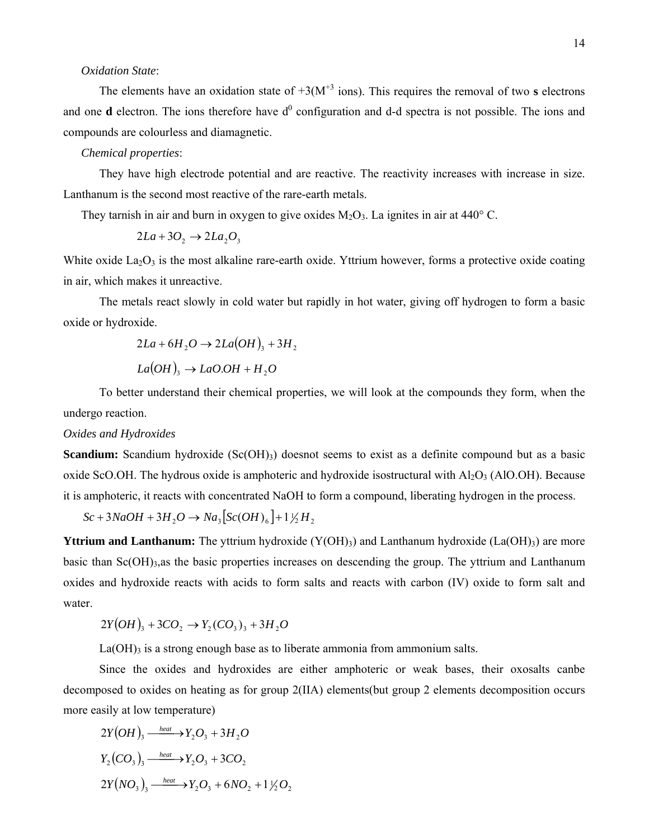### *Oxidation State*:

The elements have an oxidation state of  $+3(M^{+3} \text{ ions})$ . This requires the removal of two **s** electrons and one **d** electron. The ions therefore have  $d^0$  configuration and d-d spectra is not possible. The ions and compounds are colourless and diamagnetic.

#### *Chemical properties*:

They have high electrode potential and are reactive. The reactivity increases with increase in size. Lanthanum is the second most reactive of the rare-earth metals.

They tarnish in air and burn in oxygen to give oxides  $M_2O_3$ . La ignites in air at 440° C.

$$
2La + 3O_2 \rightarrow 2La_2O_3
$$

White oxide  $La<sub>2</sub>O<sub>3</sub>$  is the most alkaline rare-earth oxide. Yttrium however, forms a protective oxide coating in air, which makes it unreactive.

The metals react slowly in cold water but rapidly in hot water, giving off hydrogen to form a basic oxide or hydroxide.

$$
2La + 6H_2O \rightarrow 2La(OH)_3 + 3H_2
$$

$$
La(OH)_3 \rightarrow LaO.OH + H_2O
$$

To better understand their chemical properties, we will look at the compounds they form, when the undergo reaction.

#### *Oxides and Hydroxides*

**Scandium:** Scandium hydroxide (Sc(OH)<sub>3</sub>) doesnot seems to exist as a definite compound but as a basic oxide ScO.OH. The hydrous oxide is amphoteric and hydroxide isostructural with  $Al_2O_3$  (AlO.OH). Because it is amphoteric, it reacts with concentrated NaOH to form a compound, liberating hydrogen in the process.

 $Sc + 3NaOH + 3H_2O \rightarrow Na_3[Sc(OH)_6] + 1\frac{1}{2}H_2$ 

**Yttrium and Lanthanum:** The yttrium hydroxide (Y(OH)<sub>3</sub>) and Lanthanum hydroxide (La(OH)<sub>3</sub>) are more basic than  $Sc(OH)_{3,4}$  s the basic properties increases on descending the group. The yttrium and Lanthanum oxides and hydroxide reacts with acids to form salts and reacts with carbon (IV) oxide to form salt and water.

$$
2Y(OH)_3 + 3CO_2 \to Y_2(CO_3)_3 + 3H_2O
$$

 $La(OH)$ <sub>3</sub> is a strong enough base as to liberate ammonia from ammonium salts.

Since the oxides and hydroxides are either amphoteric or weak bases, their oxosalts canbe decomposed to oxides on heating as for group 2(IIA) elements(but group 2 elements decomposition occurs more easily at low temperature)

$$
2Y(OH)_3 \xrightarrow{\text{heat}} Y_2O_3 + 3H_2O
$$
  
\n
$$
Y_2(CO_3)_3 \xrightarrow{\text{heat}} Y_2O_3 + 3CO_2
$$
  
\n
$$
2Y(NO_3)_3 \xrightarrow{\text{heat}} Y_2O_3 + 6NO_2 + 1\frac{1}{2}O_2
$$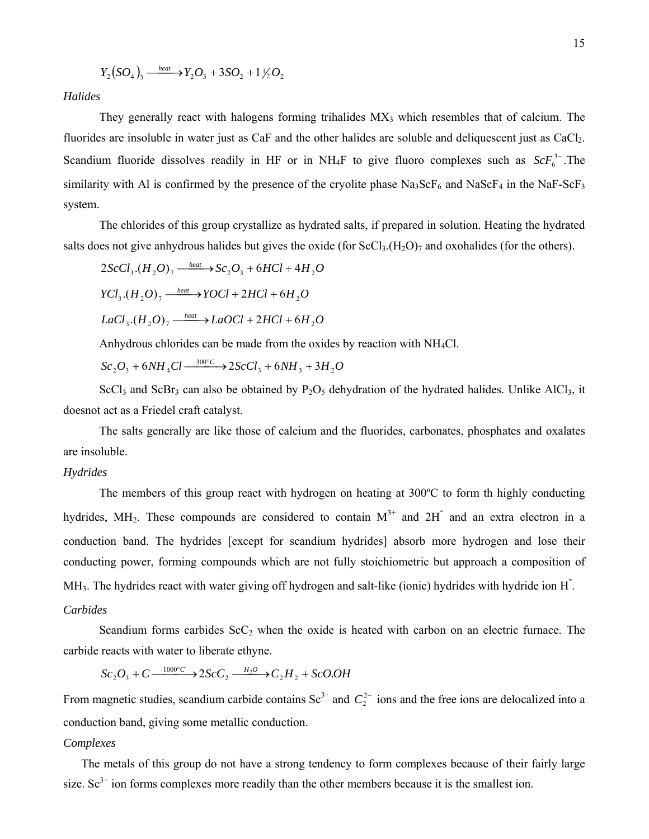$$
Y_2(SO_4)_{3} \xrightarrow{\text{heat}} Y_2O_3 + 3SO_2 + 1\frac{1}{2}O_2
$$

*Halides* 

They generally react with halogens forming trihalides  $MX<sub>3</sub>$  which resembles that of calcium. The fluorides are insoluble in water just as CaF and the other halides are soluble and deliquescent just as CaCl<sub>2</sub>. Scandium fluoride dissolves readily in HF or in NH<sub>4</sub>F to give fluoro complexes such as  $ScF_6^{3-}$ . The similarity with Al is confirmed by the presence of the cryolite phase  $\text{Na}_3\text{ScF}_6$  and  $\text{Na}\text{ScF}_4$  in the NaF-ScF<sub>3</sub> system.

The chlorides of this group crystallize as hydrated salts, if prepared in solution. Heating the hydrated salts does not give anhydrous halides but gives the oxide (for  $ScCl<sub>3</sub>(H<sub>2</sub>O)<sub>7</sub>$  and oxohalides (for the others).

$$
2ScCl3. (H2O)7 \xrightarrow{heat} Sc2O3 + 6HCl + 4H2O
$$
  
\n
$$
YCl3. (H2O)7 \xrightarrow{heat} YOCI + 2HCl + 6H2O
$$
  
\n
$$
LaCl3. (H2O)7 \xrightarrow{heat} LaOCl + 2HCl + 6H2O
$$

Anhydrous chlorides can be made from the oxides by reaction with NH4Cl.

$$
Sc_2O_3 + 6NH_4Cl \xrightarrow{300^\circ C} 2ScCl_3 + 6NH_3 + 3H_2O
$$

ScCl<sub>3</sub> and ScBr<sub>3</sub> can also be obtained by P<sub>2</sub>O<sub>5</sub> dehydration of the hydrated halides. Unlike AlCl<sub>3</sub>, it doesnot act as a Friedel craft catalyst.

The salts generally are like those of calcium and the fluorides, carbonates, phosphates and oxalates are insoluble.

### *Hydrides*

The members of this group react with hydrogen on heating at 300ºC to form th highly conducting hydrides, MH<sub>2</sub>. These compounds are considered to contain  $M^{3+}$  and 2H<sup>-</sup> and an extra electron in a conduction band. The hydrides [except for scandium hydrides] absorb more hydrogen and lose their conducting power, forming compounds which are not fully stoichiometric but approach a composition of MH<sub>3</sub>. The hydrides react with water giving off hydrogen and salt-like (ionic) hydrides with hydride ion H<sup>-</sup>. *Carbides* 

Scandium forms carbides  $ScC<sub>2</sub>$  when the oxide is heated with carbon on an electric furnace. The carbide reacts with water to liberate ethyne.

 $Sc_2O_3 + C \xrightarrow{1000\degree C} 2SC_2 \xrightarrow{H_2O} C_2 H_2 + ScOO$ 

From magnetic studies, scandium carbide contains  $Sc^{3+}$  and  $C_2^{2-}$  ions and the free ions are delocalized into a conduction band, giving some metallic conduction.

#### *Complexes*

The metals of this group do not have a strong tendency to form complexes because of their fairly large size.  $\text{Sc}^{3+}$  ion forms complexes more readily than the other members because it is the smallest ion.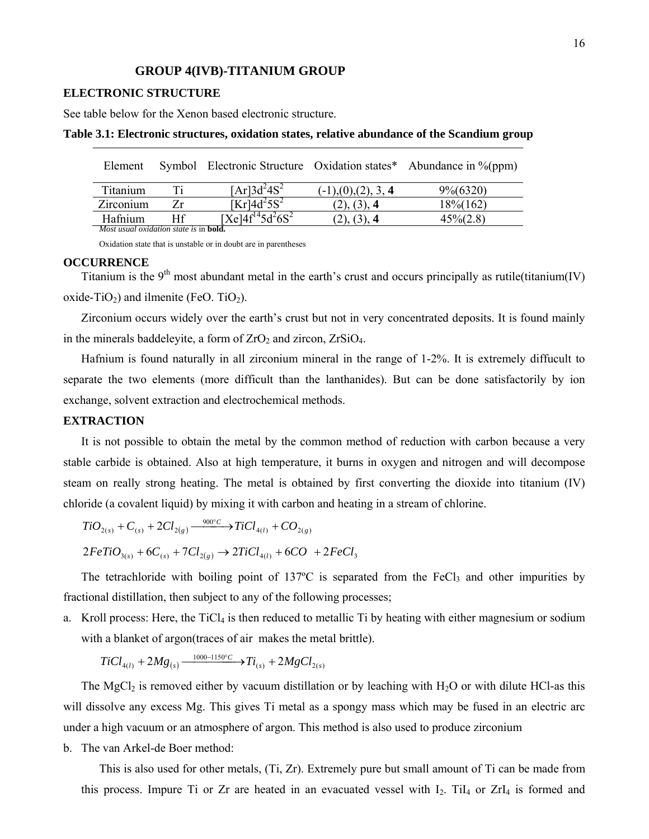#### **GROUP 4(IVB)-TITANIUM GROUP**

#### **ELECTRONIC STRUCTURE**

See table below for the Xenon based electronic structure.

| Element                                               |     |                                        |                                  | Symbol Electronic Structure Oxidation states* Abundance in %(ppm) |
|-------------------------------------------------------|-----|----------------------------------------|----------------------------------|-------------------------------------------------------------------|
| Titanium                                              | Ti. | $[Ar]3d^24S^2$                         | $(-1)$ , $(0)$ , $(2)$ , $3$ , 4 | $9\frac{6}{6}$ (6320)                                             |
| Zirconium                                             | Zr. | $[Kr]$ 4d <sup>2</sup> 5S <sup>2</sup> | $(2)$ , $(3)$ , 4                | 18\%(162)                                                         |
| Hafnium                                               | Ħf  | $[Xe]4f^{14}5d^26S^2$                  | (2), (3), 4                      | $45\% (2.8)$                                                      |
| <i>Most usual oxidation state is in <b>bold</b></i> . |     |                                        |                                  |                                                                   |

#### **Table 3.1: Electronic structures, oxidation states, relative abundance of the Scandium group**

Oxidation state that is unstable or in doubt are in parentheses

#### **OCCURRENCE**

Titanium is the  $9<sup>th</sup>$  most abundant metal in the earth's crust and occurs principally as rutile(titanium(IV) oxide-TiO<sub>2</sub>) and ilmenite (FeO. TiO<sub>2</sub>).

Zirconium occurs widely over the earth's crust but not in very concentrated deposits. It is found mainly in the minerals baddeleyite, a form of  $ZrO<sub>2</sub>$  and zircon,  $ZrSiO<sub>4</sub>$ .

Hafnium is found naturally in all zirconium mineral in the range of 1-2%. It is extremely diffucult to separate the two elements (more difficult than the lanthanides). But can be done satisfactorily by ion exchange, solvent extraction and electrochemical methods.

### **EXTRACTION**

It is not possible to obtain the metal by the common method of reduction with carbon because a very stable carbide is obtained. Also at high temperature, it burns in oxygen and nitrogen and will decompose steam on really strong heating. The metal is obtained by first converting the dioxide into titanium (IV) chloride (a covalent liquid) by mixing it with carbon and heating in a stream of chlorine.

 $TiO_{2(s)} + C_{(s)} + 2Cl_{2(g)} \xrightarrow{900^{\circ}C} TiCl_{4(l)} + CO_{2(g)}$ 

$$
2FeTiO_{3(s)} + 6C_{(s)} + 7Cl_{2(g)} \rightarrow 2TiCl_{4(l)} + 6CO + 2FeCl_3
$$

The tetrachloride with boiling point of 137°C is separated from the FeCl<sub>3</sub> and other impurities by fractional distillation, then subject to any of the following processes;

a. Kroll process: Here, the  $TiCl<sub>4</sub>$  is then reduced to metallic Ti by heating with either magnesium or sodium with a blanket of argon(traces of air makes the metal brittle).

$$
TiCl_{4(l)} + 2Mg_{(s)} \xrightarrow{1000-1150^{\circ}C} Ti_{(s)} + 2MgCl_{2(s)}
$$

The MgCl<sub>2</sub> is removed either by vacuum distillation or by leaching with H<sub>2</sub>O or with dilute HCl-as this will dissolve any excess Mg. This gives Ti metal as a spongy mass which may be fused in an electric arc under a high vacuum or an atmosphere of argon. This method is also used to produce zirconium

b. The van Arkel-de Boer method:

This is also used for other metals, (Ti, Zr). Extremely pure but small amount of Ti can be made from this process. Impure Ti or Zr are heated in an evacuated vessel with  $I_2$ . Ti $I_4$  or Zr $I_4$  is formed and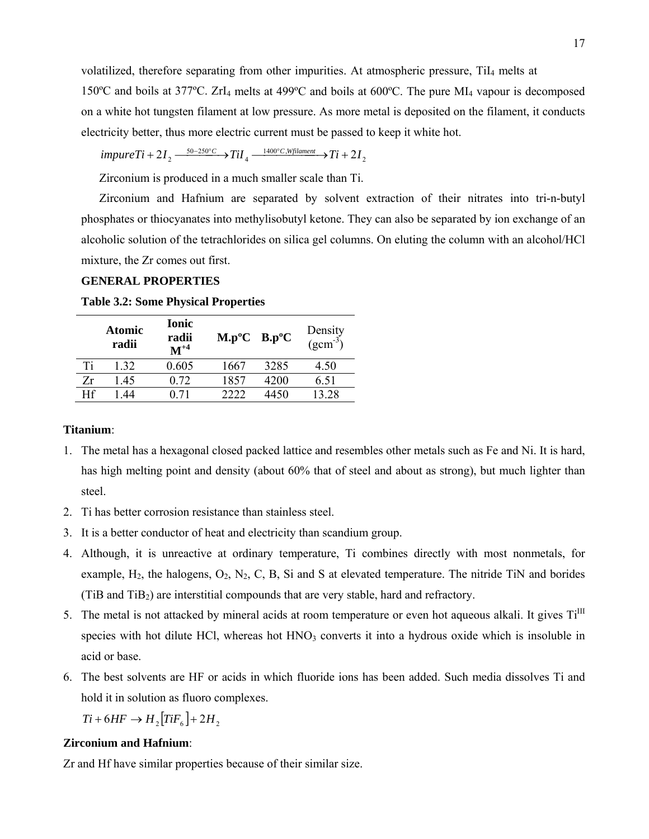volatilized, therefore separating from other impurities. At atmospheric pressure, TiI4 melts at

150ºC and boils at 377ºC. ZrI4 melts at 499ºC and boils at 600ºC. The pure MI4 vapour is decomposed on a white hot tungsten filament at low pressure. As more metal is deposited on the filament, it conducts electricity better, thus more electric current must be passed to keep it white hot.

$$
impureTi + 2I_2 \xrightarrow{50-250^{\circ}C} IiiI_4 \xrightarrow{1400^{\circ}C, Wfilament} Ti + 2I_2
$$

Zirconium is produced in a much smaller scale than Ti.

Zirconium and Hafnium are separated by solvent extraction of their nitrates into tri-n-butyl phosphates or thiocyanates into methylisobutyl ketone. They can also be separated by ion exchange of an alcoholic solution of the tetrachlorides on silica gel columns. On eluting the column with an alcohol/HCl mixture, the Zr comes out first.

## **GENERAL PROPERTIES**

|    | Atomic<br>radii | <b>Ionic</b><br>radii<br>$M^{+4}$ | $M.p^oC$ B.p°C |      | Density<br>$(gcm^{-3})$ |
|----|-----------------|-----------------------------------|----------------|------|-------------------------|
| Ti | 1 32            | 0.605                             | 1667           | 3285 | 4.50                    |
| Zr | 145             | 0.72                              | 1857           | 4200 | 6.51                    |
| Hf | -44             |                                   | 2222           | 4450 | 13 28                   |

**Table 3.2: Some Physical Properties** 

#### **Titanium**:

- 1. The metal has a hexagonal closed packed lattice and resembles other metals such as Fe and Ni. It is hard, has high melting point and density (about 60% that of steel and about as strong), but much lighter than steel.
- 2. Ti has better corrosion resistance than stainless steel.
- 3. It is a better conductor of heat and electricity than scandium group.
- 4. Although, it is unreactive at ordinary temperature, Ti combines directly with most nonmetals, for example,  $H_2$ , the halogens,  $O_2$ ,  $N_2$ , C, B, Si and S at elevated temperature. The nitride TiN and borides (TiB and TiB2) are interstitial compounds that are very stable, hard and refractory.
- 5. The metal is not attacked by mineral acids at room temperature or even hot aqueous alkali. It gives  $Ti<sup>III</sup>$ species with hot dilute HCl, whereas hot  $HNO<sub>3</sub>$  converts it into a hydrous oxide which is insoluble in acid or base.
- 6. The best solvents are HF or acids in which fluoride ions has been added. Such media dissolves Ti and hold it in solution as fluoro complexes.

 $Ti + 6HF \rightarrow H$ <sub>2</sub> $[TiF<sub>6</sub>] + 2H$ <sub>2</sub>

## **Zirconium and Hafnium**:

Zr and Hf have similar properties because of their similar size.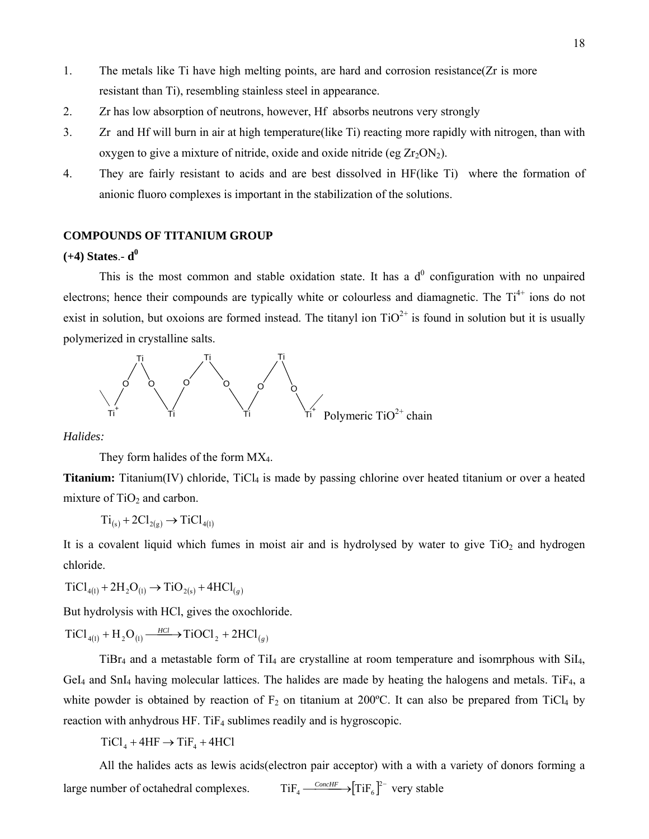- 1. The metals like Ti have high melting points, are hard and corrosion resistance(Zr is more resistant than Ti), resembling stainless steel in appearance.
- 2. Zr has low absorption of neutrons, however, Hf absorbs neutrons very strongly
- 3. Zr and Hf will burn in air at high temperature(like Ti) reacting more rapidly with nitrogen, than with oxygen to give a mixture of nitride, oxide and oxide nitride (eg  $Zr_2ON_2$ ).
- 4. They are fairly resistant to acids and are best dissolved in HF(like Ti) where the formation of anionic fluoro complexes is important in the stabilization of the solutions.

## **COMPOUNDS OF TITANIUM GROUP**

#### $(+4)$  States.-  $d^0$

This is the most common and stable oxidation state. It has a  $d<sup>0</sup>$  configuration with no unpaired electrons; hence their compounds are typically white or colourless and diamagnetic. The Ti<sup>4+</sup> ions do not exist in solution, but oxoions are formed instead. The titanyl ion  $TiO^{2+}$  is found in solution but it is usually polymerized in crystalline salts.



*Halides:* 

They form halides of the form MX<sub>4</sub>.

**Titanium:** Titanium(IV) chloride, TiCl<sub>4</sub> is made by passing chlorine over heated titanium or over a heated mixture of  $TiO<sub>2</sub>$  and carbon.

$$
Ti_{(s)} + 2Cl_{2(g)} \rightarrow TiCl_{4(1)}
$$

It is a covalent liquid which fumes in moist air and is hydrolysed by water to give  $TiO<sub>2</sub>$  and hydrogen chloride.

 $TiCl_{4(1)} + 2H_2O_{(1)} \rightarrow TiO_{2(s)} + 4HCl_{(g)}$ 

But hydrolysis with HCl, gives the oxochloride.

 $TiCl_{4(1)} + H_2O_{(1)} \xrightarrow{HCl} TiOCl_2 + 2HCl_{(g)}$ 

 $TiBr<sub>4</sub>$  and a metastable form of TiI<sub>4</sub> are crystalline at room temperature and isomrphous with  $SiI<sub>4</sub>$ , GeI<sub>4</sub> and SnI<sub>4</sub> having molecular lattices. The halides are made by heating the halogens and metals. TiF<sub>4</sub>, a white powder is obtained by reaction of  $F_2$  on titanium at 200°C. It can also be prepared from TiCl<sub>4</sub> by reaction with anhydrous HF. TiF4 sublimes readily and is hygroscopic.

 $TiCl<sub>4</sub> + 4HF \rightarrow TiF<sub>4</sub> + 4HCl$ 

All the halides acts as lewis acids(electron pair acceptor) with a with a variety of donors forming a large number of octahedral complexes.  $TiF_4 \xrightarrow{ConcHF} [TiF_6]^{2-}$  very stable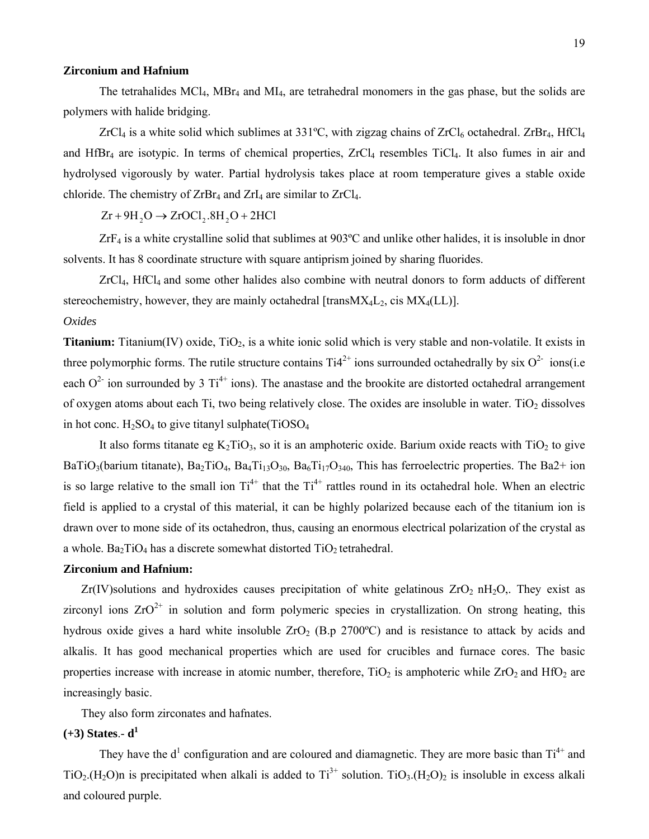#### **Zirconium and Hafnium**

The tetrahalides MCl4, MBr4 and MI4, are tetrahedral monomers in the gas phase, but the solids are polymers with halide bridging.

ZrCl<sub>4</sub> is a white solid which sublimes at 331°C, with zigzag chains of ZrCl<sub>6</sub> octahedral. ZrBr<sub>4</sub>, HfCl<sub>4</sub> and  $HfBr<sub>4</sub>$  are isotypic. In terms of chemical properties,  $ZrCl<sub>4</sub>$  resembles TiCl<sub>4</sub>. It also fumes in air and hydrolysed vigorously by water. Partial hydrolysis takes place at room temperature gives a stable oxide chloride. The chemistry of  $ZrBr_4$  and  $ZrI_4$  are similar to  $ZrCl_4$ .

 $Zr + 9H$ ,  $O \rightarrow ZrOCl$ ,  $.8H$ ,  $O + 2HCl$ 

 $ZrF_4$  is a white crystalline solid that sublimes at 903°C and unlike other halides, it is insoluble in dnor solvents. It has 8 coordinate structure with square antiprism joined by sharing fluorides.

ZrCl4, HfCl4 and some other halides also combine with neutral donors to form adducts of different stereochemistry, however, they are mainly octahedral [trans $MX_4L_2$ , cis  $MX_4(LL)$ ].

### *Oxides*

**Titanium:** Titanium(IV) oxide, TiO<sub>2</sub>, is a white ionic solid which is very stable and non-volatile. It exists in three polymorphic forms. The rutile structure contains  $Ti4^{2+}$  ions surrounded octahedrally by six  $O^{2-}$  ions(i.e each  $O^{2-}$  ion surrounded by 3 Ti<sup>4+</sup> ions). The anastase and the brookite are distorted octahedral arrangement of oxygen atoms about each Ti, two being relatively close. The oxides are insoluble in water. TiO<sub>2</sub> dissolves in hot conc.  $H_2SO_4$  to give titanyl sulphate(TiOSO<sub>4</sub>

It also forms titanate eg  $K_2TiO_3$ , so it is an amphoteric oxide. Barium oxide reacts with  $TiO_2$  to give BaTiO<sub>3</sub>(barium titanate), Ba<sub>2</sub>TiO<sub>4</sub>, Ba<sub>4</sub>Ti<sub>13</sub>O<sub>30</sub>, Ba<sub>6</sub>Ti<sub>17</sub>O<sub>340</sub>, This has ferroelectric properties. The Ba2+ ion is so large relative to the small ion  $Ti^{4+}$  that the  $Ti^{4+}$  rattles round in its octahedral hole. When an electric field is applied to a crystal of this material, it can be highly polarized because each of the titanium ion is drawn over to mone side of its octahedron, thus, causing an enormous electrical polarization of the crystal as a whole. Ba<sub>2</sub>TiO<sub>4</sub> has a discrete somewhat distorted  $TiO<sub>2</sub>$  tetrahedral.

#### **Zirconium and Hafnium:**

 $Zr(IV)$ solutions and hydroxides causes precipitation of white gelatinous  $ZrO<sub>2</sub> nH<sub>2</sub>O<sub>2</sub>$ . They exist as zirconyl ions  $ZrO^{2+}$  in solution and form polymeric species in crystallization. On strong heating, this hydrous oxide gives a hard white insoluble  $ZrO<sub>2</sub>$  (B.p 2700°C) and is resistance to attack by acids and alkalis. It has good mechanical properties which are used for crucibles and furnace cores. The basic properties increase with increase in atomic number, therefore,  $TiO<sub>2</sub>$  is amphoteric while  $ZrO<sub>2</sub>$  and  $HfO<sub>2</sub>$  are increasingly basic.

They also form zirconates and hafnates.

## **(+3) States**.- **d1**

They have the  $d<sup>1</sup>$  configuration and are coloured and diamagnetic. They are more basic than  $Ti<sup>4+</sup>$  and TiO<sub>2</sub>.(H<sub>2</sub>O)n is precipitated when alkali is added to  $Ti^{3+}$  solution. TiO<sub>3</sub>.(H<sub>2</sub>O)<sub>2</sub> is insoluble in excess alkali and coloured purple.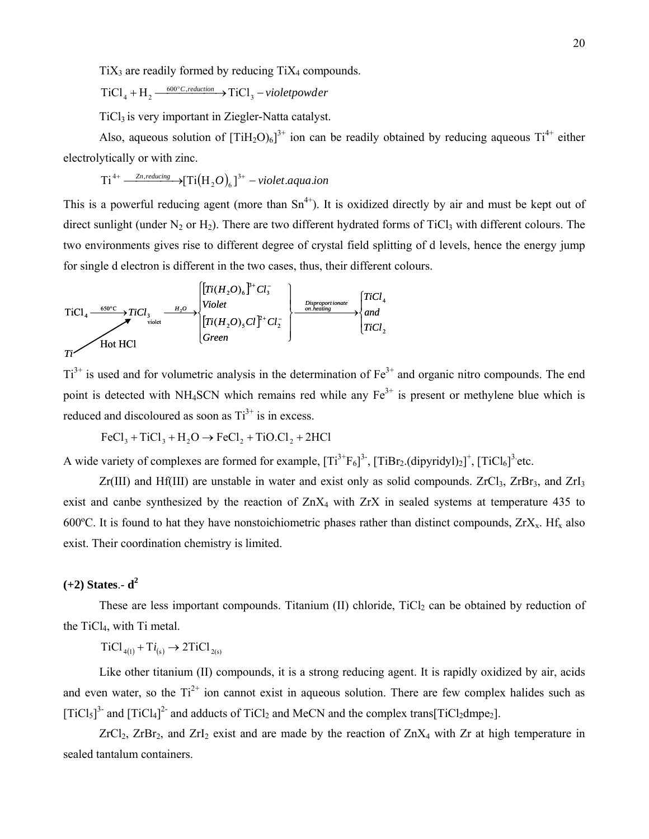$TiX<sub>3</sub>$  are readily formed by reducing  $TiX<sub>4</sub>$  compounds.

 $TiCl_4 + H_2 \xrightarrow{600^{\circ}C, reduction} \rightarrow TiCl_3 - violet powder$ 

TiCl<sub>3</sub> is very important in Ziegler-Natta catalyst.

Also, aqueous solution of  $[TiH_2O)_6]^{3+}$  ion can be readily obtained by reducing aqueous  $Ti^{4+}$  either electrolytically or with zinc.

$$
Ti^{4+} \xrightarrow{\text{Zn},\text{reducing}} [Ti(H_2O)_6]^{3+} \text{-violet.} aqua. \text{ion}
$$

This is a powerful reducing agent (more than  $Sn^{4+}$ ). It is oxidized directly by air and must be kept out of direct sunlight (under  $N_2$  or  $H_2$ ). There are two different hydrated forms of TiCl<sub>3</sub> with different colours. The two environments gives rise to different degree of crystal field splitting of d levels, hence the energy jump for single d electron is different in the two cases, thus, their different colours.

$$
TiCl_{4} \xrightarrow{\text{650°C}} TiCl_{3} \xrightarrow{\text{H}_2O} TiCl_{3} \xrightarrow{\text{H}_2O} Violet
$$
\n
$$
TiCl_{4} \xrightarrow{\text{650°C}} TiCl_{3} \xrightarrow{\text{H}_2O} Violet
$$
\n
$$
Tr(H_2O)_{5} Cl_{1}^{2+} Cl_{2} \xrightarrow{\text{Disproportionale}} \begin{Bmatrix} TiCl_{4} \\ on \text{ heating} \\ on \text{ heating} \end{Bmatrix}
$$
\n
$$
TiCl_{2}
$$
\n
$$
TiCl_{2}
$$

 $Ti<sup>3+</sup>$  is used and for volumetric analysis in the determination of  $Fe<sup>3+</sup>$  and organic nitro compounds. The end point is detected with NH<sub>4</sub>SCN which remains red while any  $Fe^{3+}$  is present or methylene blue which is reduced and discoloured as soon as  $Ti^{3+}$  is in excess.

$$
FeCl3 + TiCl3 + H2O \rightarrow FeCl2 + TiO Cl2 + 2HCl
$$

A wide variety of complexes are formed for example,  $[Ti^{3+}F_6]^{3}$ ,  $[TiBr_2$ .(dipyridyl)<sub>2</sub>]<sup>+</sup>,  $[TiCl_6]^{3}$  etc.

 $Zr(III)$  and Hf(III) are unstable in water and exist only as solid compounds.  $ZrCl<sub>3</sub>$ ,  $ZrBr<sub>3</sub>$ , and  $ZrI<sub>3</sub>$ exist and canbe synthesized by the reaction of ZnX<sub>4</sub> with ZrX in sealed systems at temperature 435 to 600°C. It is found to hat they have nonstoichiometric phases rather than distinct compounds,  $ZrX<sub>x</sub>$ . Hf<sub>x</sub> also exist. Their coordination chemistry is limited.

# **(+2) States**.- **d2**

These are less important compounds. Titanium (II) chloride,  $TiCl<sub>2</sub>$  can be obtained by reduction of the TiCl4, with Ti metal.

 $TiCl_{4(1)} + Ti_{(s)} \rightarrow 2TiCl_{2(s)}$ 

Like other titanium (II) compounds, it is a strong reducing agent. It is rapidly oxidized by air, acids and even water, so the  $Ti^{2+}$  ion cannot exist in aqueous solution. There are few complex halides such as [TiCl<sub>5</sub>]<sup>3-</sup> and [TiCl<sub>4</sub>]<sup>2-</sup> and adducts of TiCl<sub>2</sub> and MeCN and the complex trans[TiCl<sub>2</sub>dmpe<sub>2</sub>].

 $ZrCl<sub>2</sub>$ ,  $ZrBr<sub>2</sub>$ , and  $ZrI<sub>2</sub>$  exist and are made by the reaction of  $ZnX<sub>4</sub>$  with  $Zr$  at high temperature in sealed tantalum containers.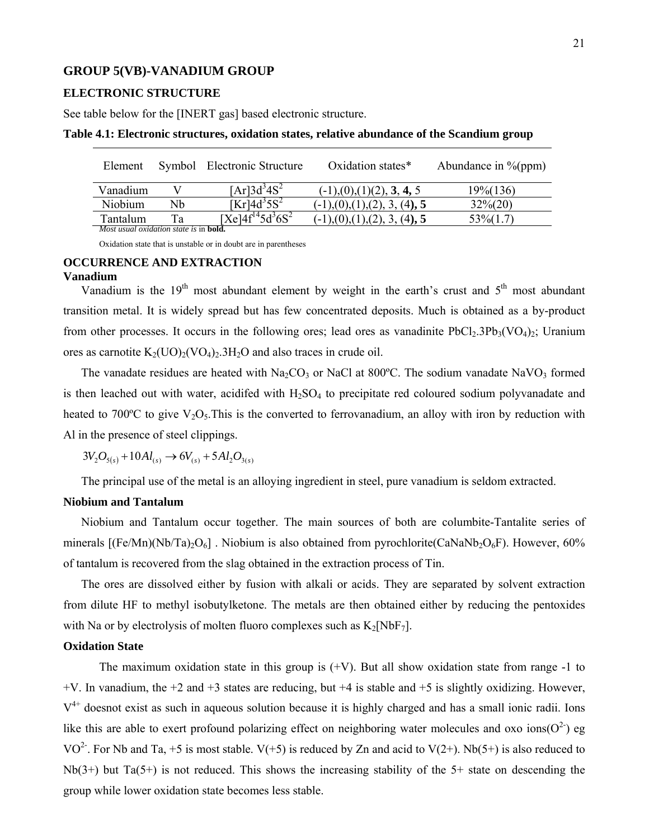### **GROUP 5(VB)-VANADIUM GROUP**

#### **ELECTRONIC STRUCTURE**

See table below for the [INERT gas] based electronic structure.

| Element                                               |    | Symbol Electronic Structure            | Oxidation states*                                      | Abundance in $\%$ (ppm) |
|-------------------------------------------------------|----|----------------------------------------|--------------------------------------------------------|-------------------------|
| Vanadium                                              |    | $[Ar]$ 3d <sup>3</sup> 4S <sup>2</sup> | $(-1)$ , $(0)$ , $(1)$ $(2)$ , <b>3</b> , <b>4</b> , 5 | 19%(136)                |
| Niobium                                               | Nh | [Kr] $4d35S2$                          | $(-1)$ , $(0)$ , $(1)$ , $(2)$ , $3$ , $(4)$ , 5       | $32\%/20$               |
| Tantalum                                              | Τа | $[Xel4f^{14}5d^{3}6S^{2}]$             | $(-1)$ , $(0)$ , $(1)$ , $(2)$ , $3$ , $(4)$ , 5       | 53\% (1.7)              |
| <i>Most usual oxidation state is in <b>bold</b></i> . |    |                                        |                                                        |                         |

#### **Table 4.1: Electronic structures, oxidation states, relative abundance of the Scandium group**

Oxidation state that is unstable or in doubt are in parentheses

# **OCCURRENCE AND EXTRACTION**

#### **Vanadium**

Vanadium is the  $19<sup>th</sup>$  most abundant element by weight in the earth's crust and  $5<sup>th</sup>$  most abundant transition metal. It is widely spread but has few concentrated deposits. Much is obtained as a by-product from other processes. It occurs in the following ores; lead ores as vanadinite  $PbCl_2.3Pb_3(VO_4)_2$ ; Uranium ores as carnotite  $K_2(UO)_2(VO_4)_2.3H_2O$  and also traces in crude oil.

The vanadate residues are heated with  $Na<sub>2</sub>CO<sub>3</sub>$  or NaCl at 800°C. The sodium vanadate NaVO<sub>3</sub> formed is then leached out with water, acidifed with  $H_2SO_4$  to precipitate red coloured sodium polyvanadate and heated to 700 $\degree$ C to give V<sub>2</sub>O<sub>5</sub>. This is the converted to ferrovanadium, an alloy with iron by reduction with Al in the presence of steel clippings.

 $3V_2O_{5(s)} + 10Al_{(s)} \rightarrow 6V_{(s)} + 5Al_2O_{3(s)}$ 

The principal use of the metal is an alloying ingredient in steel, pure vanadium is seldom extracted.

#### **Niobium and Tantalum**

Niobium and Tantalum occur together. The main sources of both are columbite-Tantalite series of minerals  $[(Fe/Mn)(Nb/Ta)<sub>2</sub>O<sub>6</sub>]$ . Niobium is also obtained from pyrochlorite(CaNaNb<sub>2</sub>O<sub>6</sub>F). However, 60% of tantalum is recovered from the slag obtained in the extraction process of Tin.

The ores are dissolved either by fusion with alkali or acids. They are separated by solvent extraction from dilute HF to methyl isobutylketone. The metals are then obtained either by reducing the pentoxides with Na or by electrolysis of molten fluoro complexes such as  $K_2[NbF_7]$ .

### **Oxidation State**

The maximum oxidation state in this group is  $(+V)$ . But all show oxidation state from range -1 to +V. In vanadium, the +2 and +3 states are reducing, but +4 is stable and +5 is slightly oxidizing. However,  $V<sup>4+</sup>$  doesnot exist as such in aqueous solution because it is highly charged and has a small ionic radii. Ions like this are able to exert profound polarizing effect on neighboring water molecules and oxo ions( $O^{2}$ ) eg VO<sup>2-</sup>. For Nb and Ta, +5 is most stable. V(+5) is reduced by Zn and acid to V(2+). Nb(5+) is also reduced to Nb(3+) but Ta(5+) is not reduced. This shows the increasing stability of the 5+ state on descending the group while lower oxidation state becomes less stable.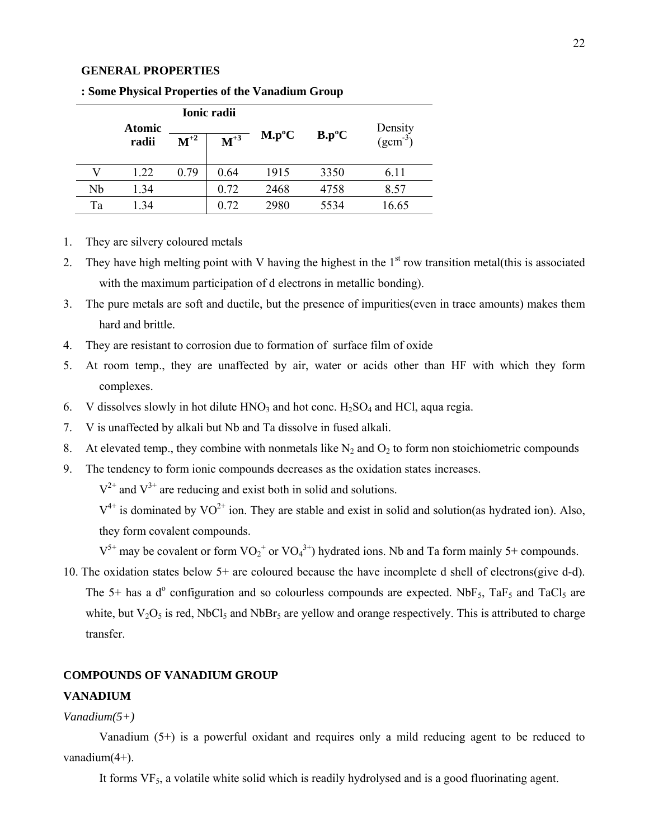#### **GENERAL PROPERTIES**

| Ionic radii |               |          |          |          |          |              |
|-------------|---------------|----------|----------|----------|----------|--------------|
|             | <b>Atomic</b> |          |          | $M.p^oC$ | $B.p^oC$ | Density      |
|             | radii         | $M^{+2}$ | $M^{+3}$ |          |          | $(gcm^{-3})$ |
|             |               |          |          |          |          |              |
|             | 1.22          | 0.79     | 0.64     | 1915     | 3350     | 6.11         |
| Nb          | 1.34          |          | 0.72     | 2468     | 4758     | 8.57         |
| Ta          | 1.34          |          | 0.72     | 2980     | 5534     | 16.65        |

**: Some Physical Properties of the Vanadium Group** 

- 1. They are silvery coloured metals
- 2. They have high melting point with V having the highest in the  $1<sup>st</sup>$  row transition metal(this is associated with the maximum participation of d electrons in metallic bonding).
- 3. The pure metals are soft and ductile, but the presence of impurities(even in trace amounts) makes them hard and brittle.
- 4. They are resistant to corrosion due to formation of surface film of oxide
- 5. At room temp., they are unaffected by air, water or acids other than HF with which they form complexes.
- 6. V dissolves slowly in hot dilute  $HNO<sub>3</sub>$  and hot conc.  $H<sub>2</sub>SO<sub>4</sub>$  and HCl, aqua regia.
- 7. V is unaffected by alkali but Nb and Ta dissolve in fused alkali.
- 8. At elevated temp., they combine with nonmetals like  $N_2$  and  $O_2$  to form non stoichiometric compounds
- 9. The tendency to form ionic compounds decreases as the oxidation states increases.

 $V^{2+}$  and  $V^{3+}$  are reducing and exist both in solid and solutions.

 $V^{4+}$  is dominated by  $VO^{2+}$  ion. They are stable and exist in solid and solution(as hydrated ion). Also, they form covalent compounds.

 $V^{5+}$  may be covalent or form  $VO_2^+$  or  $VO_4^{3+}$ ) hydrated ions. Nb and Ta form mainly 5+ compounds.

10. The oxidation states below 5+ are coloured because the have incomplete d shell of electrons(give d-d). The 5+ has a  $d^{\circ}$  configuration and so colourless compounds are expected. NbF<sub>5</sub>, TaF<sub>5</sub> and TaCl<sub>5</sub> are white, but  $V_2O_5$  is red, NbCl<sub>5</sub> and NbBr<sub>5</sub> are yellow and orange respectively. This is attributed to charge transfer.

## **COMPOUNDS OF VANADIUM GROUP**

#### **VANADIUM**

# *Vanadium(5+)*

Vanadium (5+) is a powerful oxidant and requires only a mild reducing agent to be reduced to vanadium(4+).

It forms  $VF<sub>5</sub>$ , a volatile white solid which is readily hydrolysed and is a good fluorinating agent.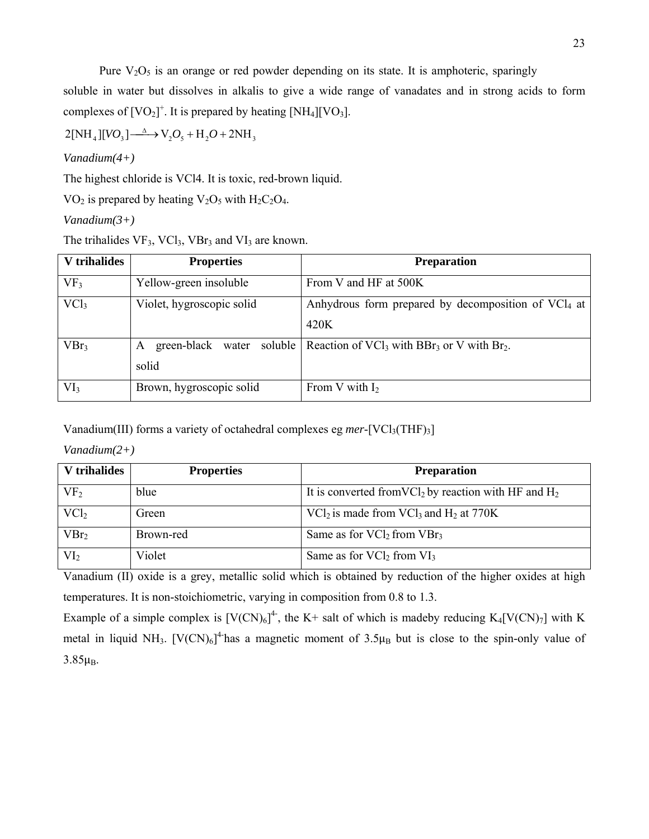Pure  $V_2O_5$  is an orange or red powder depending on its state. It is amphoteric, sparingly

soluble in water but dissolves in alkalis to give a wide range of vanadates and in strong acids to form complexes of  $[VO_2]^+$ . It is prepared by heating  $[NH_4][VO_3]$ .

 $2[NH_4][VO_3] \longrightarrow V_2O_5 + H_2O + 2NH_3$ 

*Vanadium(4+)* 

The highest chloride is VCl4. It is toxic, red-brown liquid.

 $VO<sub>2</sub>$  is prepared by heating  $V<sub>2</sub>O<sub>5</sub>$  with  $H<sub>2</sub>C<sub>2</sub>O<sub>4</sub>$ .

*Vanadium(3+)* 

The trihalides  $VF_3$ ,  $VCl_3$ ,  $VBr_3$  and  $VI_3$  are known.

| V trihalides     | <b>Properties</b>              | <b>Preparation</b>                                                             |
|------------------|--------------------------------|--------------------------------------------------------------------------------|
| VF <sub>3</sub>  | Yellow-green insoluble         | From V and HF at 500K                                                          |
| $\text{VC1}_3$   | Violet, hygroscopic solid      | Anhydrous form prepared by decomposition of $VCI4$ at                          |
|                  |                                | 420K                                                                           |
| VBr <sub>3</sub> | green-black water soluble<br>A | Reaction of VCl <sub>3</sub> with BBr <sub>3</sub> or V with Br <sub>2</sub> . |
|                  | solid                          |                                                                                |
| VI <sub>3</sub>  | Brown, hygroscopic solid       | From V with $I_2$                                                              |

Vanadium(III) forms a variety of octahedral complexes eg *mer*-[VCl<sub>3</sub>(THF)<sub>3</sub>]

*Vanadium(2+)* 

| V trihalides     | <b>Properties</b> | <b>Preparation</b>                                                  |
|------------------|-------------------|---------------------------------------------------------------------|
| VF <sub>2</sub>  | blue              | It is converted from $VCl_2$ by reaction with HF and H <sub>2</sub> |
| $\text{VC1}_2$   | Green             | $\text{VCl}_2$ is made from $\text{VCl}_3$ and $\text{H}_2$ at 770K |
| VBr <sub>2</sub> | Brown-red         | Same as for $\text{VCl}_2$ from $\text{VBr}_3$                      |
| VI <sub>2</sub>  | Violet            | Same as for $\text{VCl}_2$ from $\text{VI}_3$                       |

Vanadium (II) oxide is a grey, metallic solid which is obtained by reduction of the higher oxides at high temperatures. It is non-stoichiometric, varying in composition from 0.8 to 1.3.

Example of a simple complex is  $[V(CN)_6]^4$ , the K+ salt of which is madeby reducing K<sub>4</sub>[V(CN)<sub>7</sub>] with K metal in liquid NH<sub>3</sub>. [V(CN)<sub>6</sub>]<sup>4-</sup>has a magnetic moment of  $3.5\mu_B$  but is close to the spin-only value of  $3.85<sub>u</sub>B$ .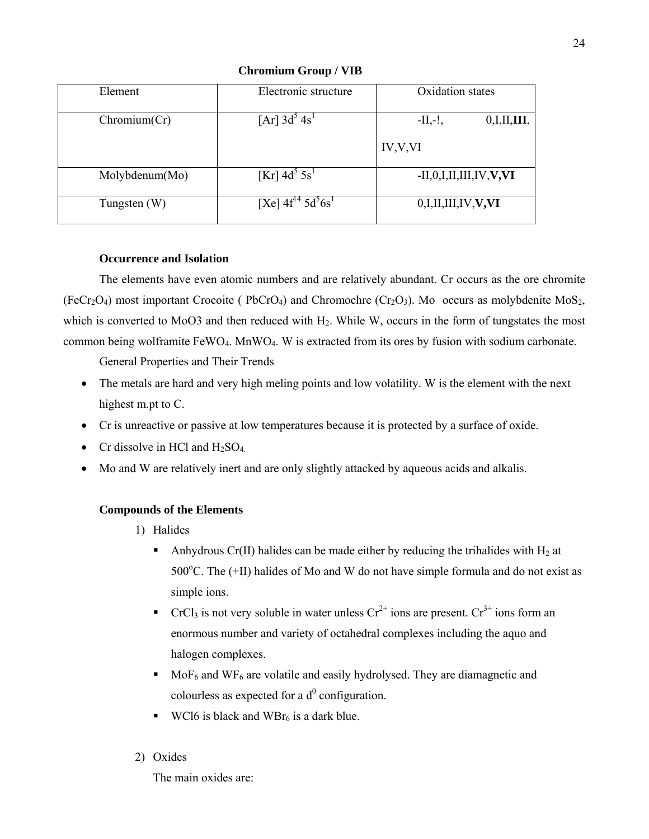| Element        | Electronic structure                           | Oxidation states                |
|----------------|------------------------------------------------|---------------------------------|
| Chromium(Cr)   | $[Ar]$ 3d <sup>3</sup> 4s <sup>1</sup>         | $-II,-!$<br>0,I,II,III          |
|                |                                                | IV, V, VI                       |
| Molybdenum(Mo) | $[Kr]$ 4d <sup>3</sup> 5s <sup>1</sup>         | $-II, 0, I, II, III, IV, V, VI$ |
| Tungsten $(W)$ | [Xe] $4f^{14}$ 5d <sup>5</sup> 6s <sup>1</sup> | 0,I,II,III,IV, V, VI            |

**Chromium Group / VIB** 

## **Occurrence and Isolation**

The elements have even atomic numbers and are relatively abundant. Cr occurs as the ore chromite  $(FeCr<sub>2</sub>O<sub>4</sub>)$  most important Crocoite ( PbCrO<sub>4</sub>) and Chromochre (Cr<sub>2</sub>O<sub>3</sub>). Mo occurs as molybdenite MoS<sub>2</sub>, which is converted to MoO3 and then reduced with  $H_2$ . While W, occurs in the form of tungstates the most common being wolframite FeWO4. MnWO4. W is extracted from its ores by fusion with sodium carbonate.

General Properties and Their Trends

- The metals are hard and very high meling points and low volatility. W is the element with the next highest m.pt to C.
- Cr is unreactive or passive at low temperatures because it is protected by a surface of oxide.
- Cr dissolve in HCl and  $H_2SO_4$ .
- Mo and W are relatively inert and are only slightly attacked by aqueous acids and alkalis.

# **Compounds of the Elements**

- 1) Halides
	- Anhydrous Cr(II) halides can be made either by reducing the trihalides with  $H_2$  at 500 $^{\circ}$ C. The (+II) halides of Mo and W do not have simple formula and do not exist as simple ions.
	- CrCl<sub>3</sub> is not very soluble in water unless  $Cr^{2+}$  ions are present.  $Cr^{3+}$  ions form an enormous number and variety of octahedral complexes including the aquo and halogen complexes.
	- $Mof<sub>6</sub>$  and WF<sub>6</sub> are volatile and easily hydrolysed. They are diamagnetic and colourless as expected for a  $d^0$  configuration.
	- **WCl6** is black and WBr<sub>6</sub> is a dark blue.
- 2) Oxides

The main oxides are: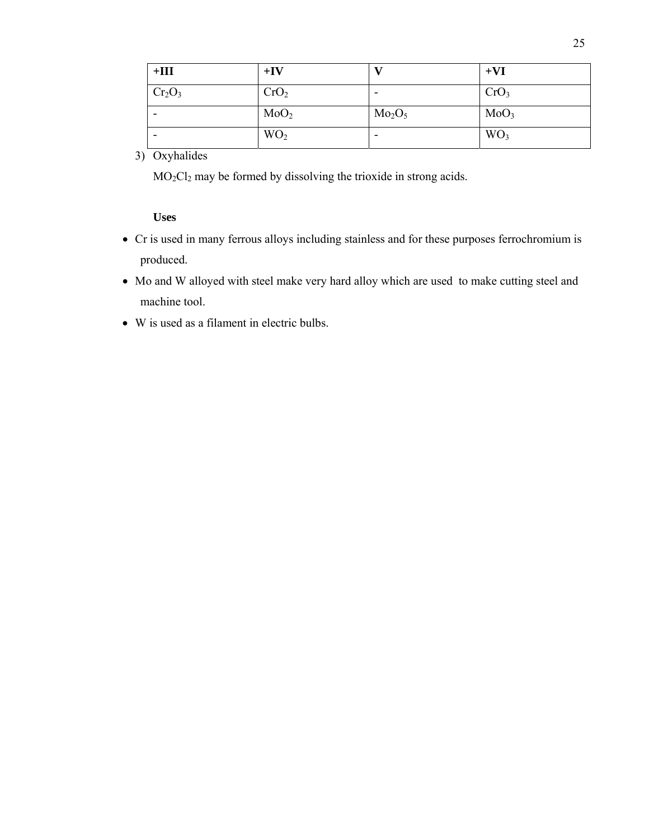| $+III$                         | $+IV$            |                                | $+VI$            |
|--------------------------------|------------------|--------------------------------|------------------|
| Cr <sub>2</sub> O <sub>3</sub> | CrO <sub>2</sub> |                                | CrO <sub>3</sub> |
| -                              | MoO <sub>2</sub> | Mo <sub>2</sub> O <sub>5</sub> | MoO <sub>3</sub> |
| $\overline{\phantom{0}}$       | WO <sub>2</sub>  | $\overline{\phantom{0}}$       | WO <sub>3</sub>  |

# 3) Oxyhalides

MO2Cl2 may be formed by dissolving the trioxide in strong acids.

## **Uses**

- Cr is used in many ferrous alloys including stainless and for these purposes ferrochromium is produced.
- Mo and W alloyed with steel make very hard alloy which are used to make cutting steel and machine tool.
- W is used as a filament in electric bulbs.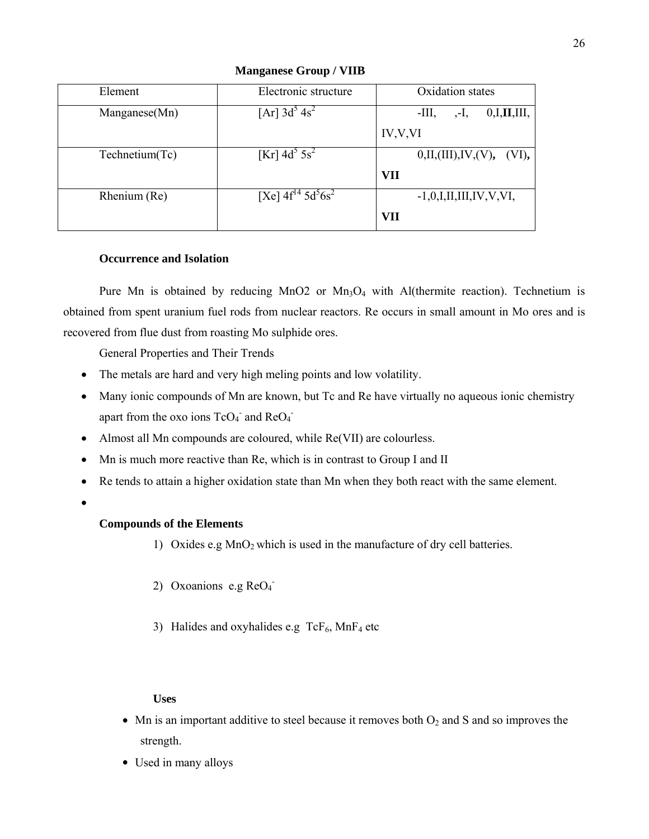| Element        | Electronic structure                           | Oxidation states                |
|----------------|------------------------------------------------|---------------------------------|
| Manganese(Mn)  | $[Ar]$ 3d <sup>3</sup> 4s <sup>2</sup>         | $-III$ ,<br>0,I,II,III,<br>,-1, |
|                |                                                | IV, V, VI                       |
| Technetium(Tc) | $[Kr]$ 4d <sup>3</sup> 5s <sup>2</sup>         | 0,II,(III),IV,(V), (VI),        |
|                |                                                | <b>VII</b>                      |
| Rhenium (Re)   | [Xe] $4f^{14}$ 5d <sup>5</sup> 6s <sup>2</sup> | $-1, 0, I, II, III, IV, V, VI,$ |
|                |                                                | <b>VII</b>                      |

**Manganese Group / VIIB** 

## **Occurrence and Isolation**

Pure Mn is obtained by reducing  $MnO2$  or  $Mn<sub>3</sub>O<sub>4</sub>$  with Al(thermite reaction). Technetium is obtained from spent uranium fuel rods from nuclear reactors. Re occurs in small amount in Mo ores and is recovered from flue dust from roasting Mo sulphide ores.

General Properties and Their Trends

- The metals are hard and very high meling points and low volatility.
- Many ionic compounds of Mn are known, but Tc and Re have virtually no aqueous ionic chemistry apart from the oxo ions  $TcO_4^-$  and  $ReO_4^-$
- Almost all Mn compounds are coloured, while Re(VII) are colourless.
- Mn is much more reactive than Re, which is in contrast to Group I and II
- Re tends to attain a higher oxidation state than Mn when they both react with the same element.
- •

# **Compounds of the Elements**

- 1) Oxides e.g  $MnO<sub>2</sub>$  which is used in the manufacture of dry cell batteries.
- 2) Oxoanions e.g  $ReO<sub>4</sub>$
- 3) Halides and oxyhalides e.g  $TcF_6$ , MnF<sub>4</sub> etc

# **Uses**

- Mn is an important additive to steel because it removes both  $O_2$  and S and so improves the strength.
- Used in many alloys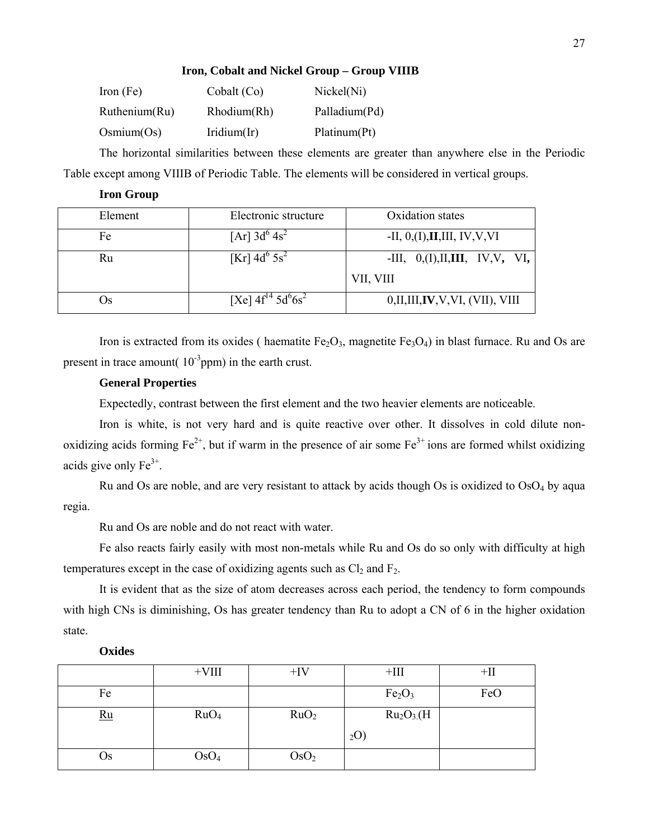### **Iron, Cobalt and Nickel Group – Group VIIIB**

| Iron $(Fe)$   | Cobalt (Co)    | Nickel(Ni)    |
|---------------|----------------|---------------|
| Ruthenium(Ru) | Rhodium(Rh)    | Palladium(Pd) |
| Osmium(Os)    | Iridium $(Ir)$ | Platinum(Pt)  |

The horizontal similarities between these elements are greater than anywhere else in the Periodic Table except among VIIIB of Periodic Table. The elements will be considered in vertical groups.

| Element | Electronic structure                           | Oxidation states                  |
|---------|------------------------------------------------|-----------------------------------|
| Fe      | $[Ar]$ 3d <sup>6</sup> 4s <sup>2</sup>         | -II, $0,(I)$ , II, III, IV, V, VI |
| Ru      | $[Kr]$ 4d <sup>o</sup> 5s <sup>2</sup>         | -III, $0,(I),II,III, IV, V, VI,$  |
|         |                                                | VII, VIII                         |
| )s      | [Xe] $4f^{14}$ 5d <sup>o</sup> 6s <sup>2</sup> | 0,II,III, IV, V, VI, (VII), VIII  |

Iron is extracted from its oxides ( haematite  $Fe<sub>2</sub>O<sub>3</sub>$ , magnetite  $Fe<sub>3</sub>O<sub>4</sub>$ ) in blast furnace. Ru and Os are present in trace amount( $10^{-3}$ ppm) in the earth crust.

### **General Properties**

**Iron Group** 

Expectedly, contrast between the first element and the two heavier elements are noticeable.

Iron is white, is not very hard and is quite reactive over other. It dissolves in cold dilute nonoxidizing acids forming  $Fe^{2+}$ , but if warm in the presence of air some  $Fe^{3+}$  ions are formed whilst oxidizing acids give only  $Fe<sup>3+</sup>$ .

Ru and Os are noble, and are very resistant to attack by acids though Os is oxidized to  $OsO<sub>4</sub>$  by aqua regia.

Ru and Os are noble and do not react with water.

Fe also reacts fairly easily with most non-metals while Ru and Os do so only with difficulty at high temperatures except in the case of oxidizing agents such as  $Cl_2$  and  $F_2$ .

It is evident that as the size of atom decreases across each period, the tendency to form compounds with high CNs is diminishing, Os has greater tendency than Ru to adopt a CN of 6 in the higher oxidation state.

#### **Oxides**

|      | $+VIII$          | $+IV$            | $+{\rm III}$                       | $+$ II |
|------|------------------|------------------|------------------------------------|--------|
| Fe   |                  |                  | Fe <sub>2</sub> O <sub>3</sub>     | FeO    |
| $Ru$ | RuO <sub>4</sub> | RuO <sub>2</sub> | Ru <sub>2</sub> O <sub>3</sub> (H) |        |
|      |                  |                  | $_{2}O)$                           |        |
| Os   | OsO <sub>4</sub> | OsO <sub>2</sub> |                                    |        |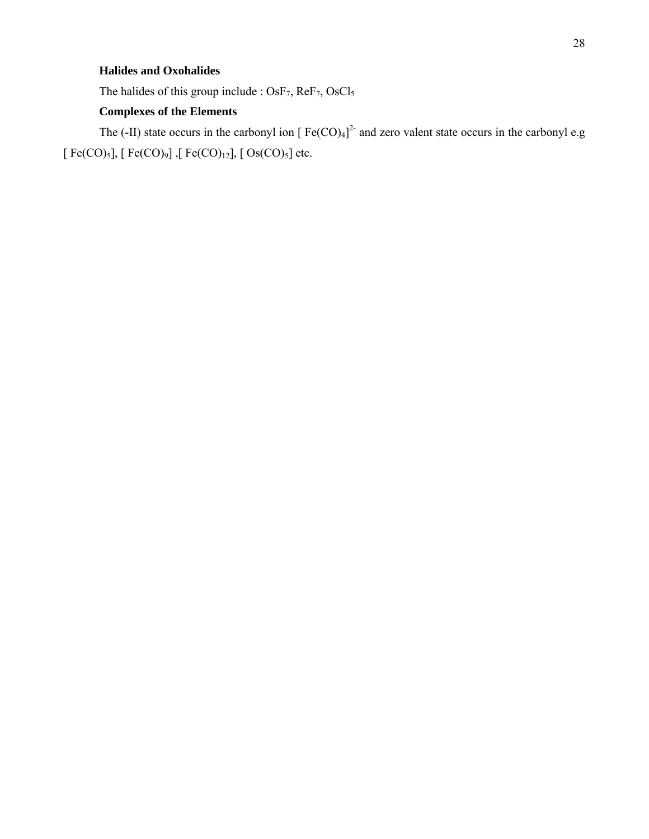## **Halides and Oxohalides**

The halides of this group include : OsF<sub>7</sub>, ReF<sub>7</sub>, OsCl<sub>5</sub>

# **Complexes of the Elements**

The (-II) state occurs in the carbonyl ion  $[Fe(CO)_4]^2$  and zero valent state occurs in the carbonyl e.g [  $Fe(CO)_5$ ], [  $Fe(CO)_9$ ], [  $Fe(CO)_{12}$ ], [  $Os(CO)_5$ ] etc.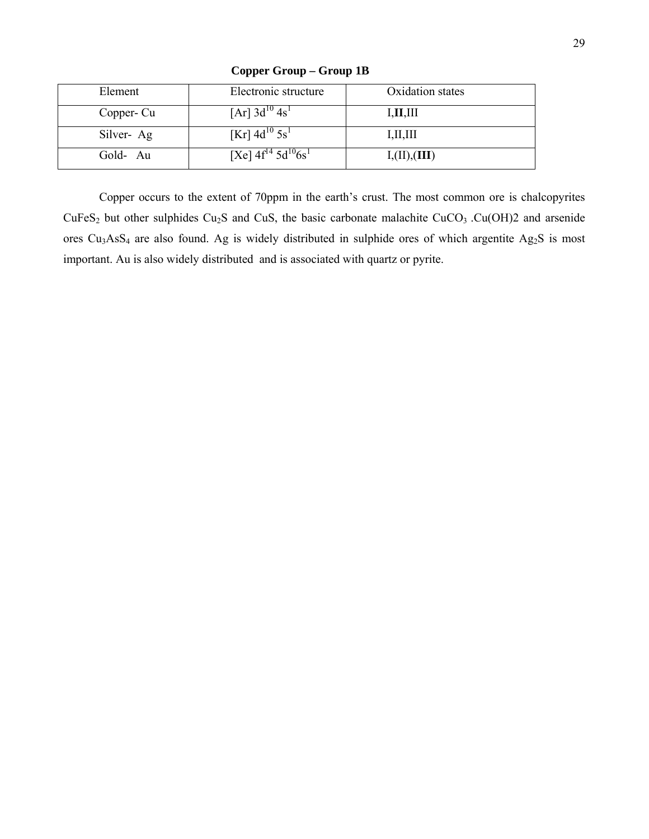| Element    | Electronic structure                     | Oxidation states                              |
|------------|------------------------------------------|-----------------------------------------------|
| Copper- Cu | $[Ar]$ 3d <sup>10</sup> 4s <sup>1</sup>  | I, II, III                                    |
| Silver-Ag  | $[Kr]$ 4d <sup>10</sup> 5s <sup>1</sup>  | I, II, III                                    |
| Gold-Au    | [Xe] $4f^{14}$ $5d^{10}$ 6s <sup>1</sup> | $\mathrm{I},\!(\mathrm{II}),\!(\mathrm{III})$ |

**Copper Group – Group 1B** 

Copper occurs to the extent of 70ppm in the earth's crust. The most common ore is chalcopyrites  $CuFeS<sub>2</sub>$  but other sulphides Cu<sub>2</sub>S and CuS, the basic carbonate malachite CuCO<sub>3</sub> .Cu(OH)2 and arsenide ores Cu3AsS4 are also found. Ag is widely distributed in sulphide ores of which argentite Ag2S is most important. Au is also widely distributed and is associated with quartz or pyrite.